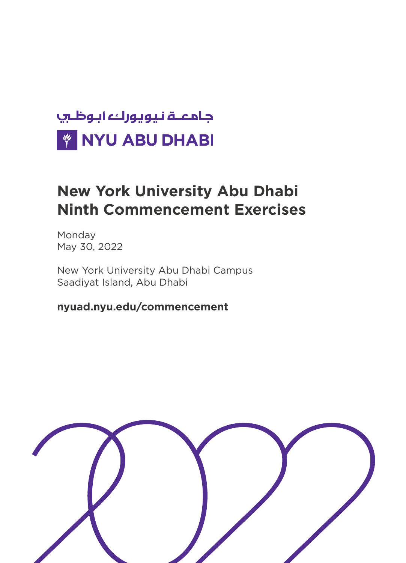

## **New York University Abu Dhabi Ninth Commencement Exercises**

Monday May 30, 2022

New York University Abu Dhabi Campus Saadiyat Island, Abu Dhabi

**[nyuad.nyu.edu/commencement](https://nyuad.nyu.edu/commencement)** 

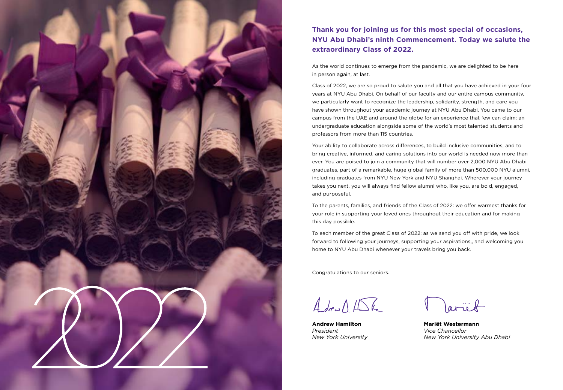

**Thank you for joining us for this most special of occasions, NYU Abu Dhabi's ninth Commencement. Today we salute the extraordinary Class of 2022.** 

As the world continues to emerge from the pandemic, we are delighted to be here in person again, at last.

Class of 2022, we are so proud to salute you and all that you have achieved in your four years at NYU Abu Dhabi. On behalf of our faculty and our entire campus community, we particularly want to recognize the leadership, solidarity, strength, and care you have shown throughout your academic journey at NYU Abu Dhabi. You came to our campus from the UAE and around the globe for an experience that few can claim: an undergraduate education alongside some of the world's most talented students and professors from more than 115 countries.

Your ability to collaborate across diferences, to build inclusive communities, and to bring creative, informed, and caring solutions into our world is needed now more than ever. You are poised to join a community that will number over 2,000 NYU Abu Dhabi graduates, part of a remarkable, huge global family of more than 500,000 NYU alumni, including graduates from NYU New York and NYU Shanghai. Wherever your journey takes you next, you will always fnd fellow alumni who, like you, are bold, engaged, and purposeful.

To the parents, families, and friends of the Class of 2022: we ofer warmest thanks for your role in supporting your loved ones throughout their education and for making this day possible.

To each member of the great Class of 2022: as we send you off with pride, we look forward to following your journeys, supporting your aspirations,, and welcoming you home to NYU Abu Dhabi whenever your travels bring you back.

Congratulations to our seniors.

 $Aden\Lambda H\overline{K}$ 

**Andrew Hamilton President New York University** 

ried

**Mariët Westermann** *Vice Chancellor New York University New York University Abu Dhabi*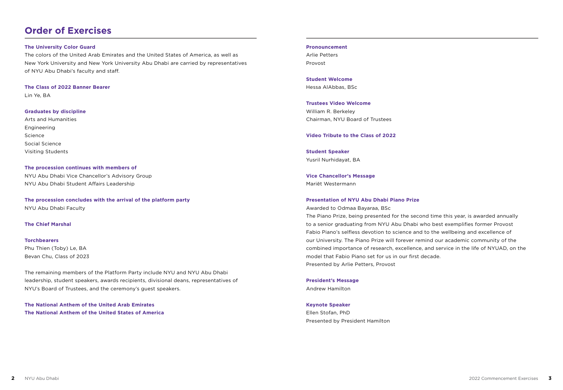## **Order of Exercises**

#### **The University Color Guard**

The colors of the United Arab Emirates and the United States of America, as well as New York University and New York University Abu Dhabi are carried by representatives of NYU Abu Dhabi's faculty and staff.

#### **The Class of 2022 Banner Bearer**

Lin Ye, BA

#### **Graduates by discipline**

Arts and Humanities Engineering Science Social Science Visiting Students

#### **The procession continues with members of**

NYU Abu Dhabi Vice Chancellor's Advisory Group NYU Abu Dhabi Student Affairs Leadership

**The procession concludes with the arrival of the platform party**  NYU Abu Dhabi Faculty

#### **The Chief Marshal**

#### **Torchbearers**

Phu Thien (Toby) Le, BA Bevan Chu, Class of 2023

The remaining members of the Platform Party include NYU and NYU Abu Dhabi leadership, student speakers, awards recipients, divisional deans, representatives of NYU's Board of Trustees, and the ceremony's guest speakers.

**The National Anthem of the United Arab Emirates The National Anthem of the United States of America** 

#### **Pronouncement**

Arlie Petters Provost

**Student Welcome**  Hessa AlAbbas, BSc

## **Trustees Video Welcome**

William R. Berkeley Chairman, NYU Board of Trustees

#### **Video Tribute to the Class of 2022**

**Student Speaker**  Yusril Nurhidayat, BA

**Vice Chancellor's Message** 

Mariët Westermann

#### **Presentation of NYU Abu Dhabi Piano Prize**

Awarded to Odmaa Bayaraa, BSc

The Piano Prize, being presented for the second time this year, is awarded annually to a senior graduating from NYU Abu Dhabi who best exemplifes former Provost Fabio Piano's selfess devotion to science and to the wellbeing and excellence of our University. The Piano Prize will forever remind our academic community of the combined importance of research, excellence, and service in the life of NYUAD, on the model that Fabio Piano set for us in our first decade. Presented by Arlie Petters, Provost

#### **President's Message**

Andrew Hamilton

#### **Keynote Speaker**

Ellen Stofan, PhD Presented by President Hamilton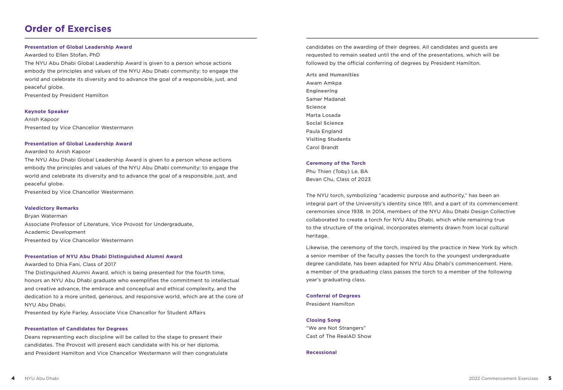## **Order of Exercises**

#### **Presentation of Global Leadership Award**

Awarded to Ellen Stofan, PhD

The NYU Abu Dhabi Global Leadership Award is given to a person whose actions embody the principles and values of the NYU Abu Dhabi community: to engage the world and celebrate its diversity and to advance the goal of a responsible, just, and peaceful globe.

Presented by President Hamilton

#### **Keynote Speaker**

Anish Kapoor Presented by Vice Chancellor Westermann

#### **Presentation of Global Leadership Award**

#### Awarded to Anish Kapoor

The NYU Abu Dhabi Global Leadership Award is given to a person whose actions embody the principles and values of the NYU Abu Dhabi community: to engage the world and celebrate its diversity and to advance the goal of a responsible, just, and peaceful globe.

Presented by Vice Chancellor Westermann

#### **Valedictory Remarks**

Bryan Waterman Associate Professor of Literature, Vice Provost for Undergraduate, Academic Development Presented by Vice Chancellor Westermann

#### **Presentation of NYU Abu Dhabi Distinguished Alumni Award**

Awarded to Dhia Fani, Class of 2017

The Distinguished Alumni Award, which is being presented for the fourth time, honors an NYU Abu Dhabi graduate who exemplifes the commitment to intellectual and creative advance, the embrace and conceptual and ethical complexity, and the dedication to a more united, generous, and responsive world, which are at the core of NYU Abu Dhabi.

Presented by Kyle Farley, Associate Vice Chancellor for Student Affairs

#### **Presentation of Candidates for Degrees**

Deans representing each discipline will be called to the stage to present their candidates. The Provost will present each candidate with his or her diploma, and President Hamilton and Vice Chancellor Westermann will then congratulate candidates on the awarding of their degrees. All candidates and guests are requested to remain seated until the end of the presentations, which will be followed by the official conferring of degrees by President Hamilton.

**Arts and Humanities**  Awam Amkpa **Engineering**  Samer Madanat **Science**  Marta Losada **Social Science**  Paula England **Visiting Students**  Carol Brandt

#### **Ceremony of the Torch**

Phu Thien (Toby) Le, BA Bevan Chu, Class of 2023

The NYU torch, symbolizing "academic purpose and authority," has been an integral part of the University's identity since 1911, and a part of its commencement ceremonies since 1938. In 2014, members of the NYU Abu Dhabi Design Collective collaborated to create a torch for NYU Abu Dhabi, which while remaining true to the structure of the original, incorporates elements drawn from local cultural heritage.

Likewise, the ceremony of the torch, inspired by the practice in New York by which a senior member of the faculty passes the torch to the youngest undergraduate degree candidate, has been adapted for NYU Abu Dhabi's commencement. Here, a member of the graduating class passes the torch to a member of the following year's graduating class.

#### **Conferral of Degrees**

President Hamilton

#### **Closing Song**

"We are Not Strangers" Cast of The RealAD Show

#### **Recessional**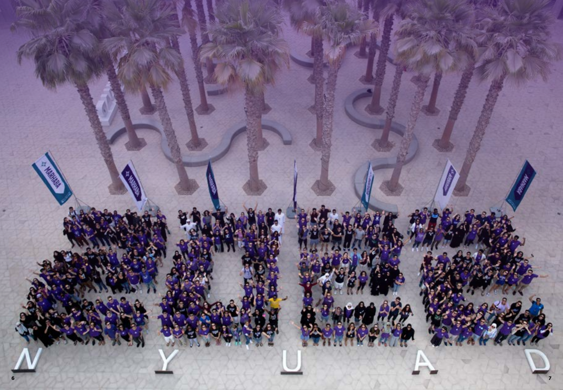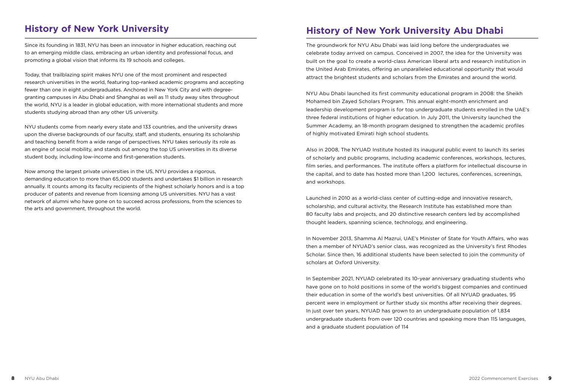## **History of New York University**

Since its founding in 1831, NYU has been an innovator in higher education, reaching out to an emerging middle class, embracing an urban identity and professional focus, and promoting a global vision that informs its 19 schools and colleges.

Today, that trailblazing spirit makes NYU one of the most prominent and respected research universities in the world, featuring top-ranked academic programs and accepting fewer than one in eight undergraduates. Anchored in New York City and with degreegranting campuses in Abu Dhabi and Shanghai as well as 11 study away sites throughout the world, NYU is a leader in global education, with more international students and more students studying abroad than any other US university.

NYU students come from nearly every state and 133 countries, and the university draws upon the diverse backgrounds of our faculty, staff, and students, ensuring its scholarship and teaching benefit from a wide range of perspectives. NYU takes seriously its role as an engine of social mobility, and stands out among the top US universities in its diverse student body, including low-income and first-generation students.

Now among the largest private universities in the US, NYU provides a rigorous, demanding education to more than 65,000 students and undertakes \$1 billion in research annually. It counts among its faculty recipients of the highest scholarly honors and is a top producer of patents and revenue from licensing among US universities. NYU has a vast network of alumni who have gone on to succeed across professions, from the sciences to the arts and government, throughout the world.

## **History of New York University Abu Dhabi**

The groundwork for NYU Abu Dhabi was laid long before the undergraduates we celebrate today arrived on campus. Conceived in 2007, the idea for the University was built on the goal to create a world-class American liberal arts and research institution in the United Arab Emirates, offering an unparalleled educational opportunity that would attract the brightest students and scholars from the Emirates and around the world.

NYU Abu Dhabi launched its first community educational program in 2008: the Sheikh Mohamed bin Zayed Scholars Program. This annual eight-month enrichment and leadership development program is for top undergraduate students enrolled in the UAE's three federal institutions of higher education. In July 2011, the University launched the Summer Academy, an 18-month program designed to strengthen the academic profiles of highly motivated Emirati high school students.

Also in 2008, The NYUAD Institute hosted its inaugural public event to launch its series of scholarly and public programs, including academic conferences, workshops, lectures, film series, and performances. The institute offers a platform for intellectual discourse in the capital, and to date has hosted more than 1,200 lectures, conferences, screenings, and workshops.

Launched in 2010 as a world-class center of cutting-edge and innovative research, scholarship, and cultural activity, the Research Institute has established more than 80 faculty labs and projects, and 20 distinctive research centers led by accomplished thought leaders, spanning science, technology, and engineering.

In November 2013, Shamma Al Mazrui, UAE's Minister of State for Youth Affairs, who was then a member of NYUAD's senior class, was recognized as the University's first Rhodes Scholar. Since then, 16 additional students have been selected to join the community of scholars at Oxford University.

In just over ten years, NYUAD has grown to an undergraduate population of 1,834 In September 2021, NYUAD celebrated its 10-year anniversary graduating students who have gone on to hold positions in some of the world's biggest companies and continued their education in some of the world's best universities. Of all NYUAD graduates, 95 percent were in employment or further study six months after receiving their degrees. undergraduate students from over 120 countries and speaking more than 115 languages, and a graduate student population of 114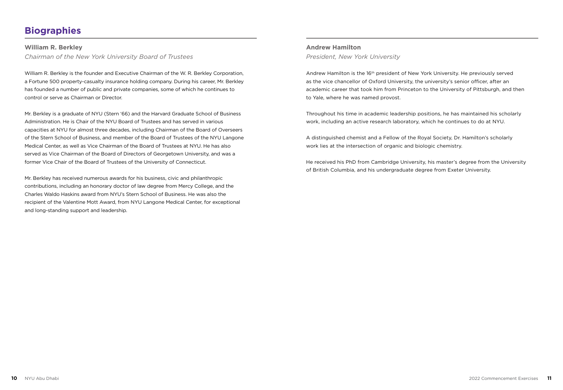### **William R. Berkley**  *Chairman of the New York University Board of Trustees*

William R. Berkley is the founder and Executive Chairman of the W. R. Berkley Corporation, a Fortune 500 property-casualty insurance holding company. During his career, Mr. Berkley has founded a number of public and private companies, some of which he continues to control or serve as Chairman or Director.

Mr. Berkley is a graduate of NYU (Stern '66) and the Harvard Graduate School of Business Administration. He is Chair of the NYU Board of Trustees and has served in various capacities at NYU for almost three decades, including Chairman of the Board of Overseers of the Stern School of Business, and member of the Board of Trustees of the NYU Langone Medical Center, as well as Vice Chairman of the Board of Trustees at NYU. He has also served as Vice Chairman of the Board of Directors of Georgetown University, and was a former Vice Chair of the Board of Trustees of the University of Connecticut.

Mr. Berkley has received numerous awards for his business, civic and philanthropic contributions, including an honorary doctor of law degree from Mercy College, and the Charles Waldo Haskins award from NYU's Stern School of Business. He was also the recipient of the Valentine Mott Award, from NYU Langone Medical Center, for exceptional and long-standing support and leadership.

### **Andrew Hamilton**

*President, New York University* 

Andrew Hamilton is the 16<sup>th</sup> president of New York University. He previously served as the vice chancellor of Oxford University, the university's senior officer, after an academic career that took him from Princeton to the University of Pittsburgh, and then to Yale, where he was named provost.

Throughout his time in academic leadership positions, he has maintained his scholarly work, including an active research laboratory, which he continues to do at NYU.

A distinguished chemist and a Fellow of the Royal Society, Dr. Hamilton's scholarly work lies at the intersection of organic and biologic chemistry.

He received his PhD from Cambridge University, his master's degree from the University of British Columbia, and his undergraduate degree from Exeter University.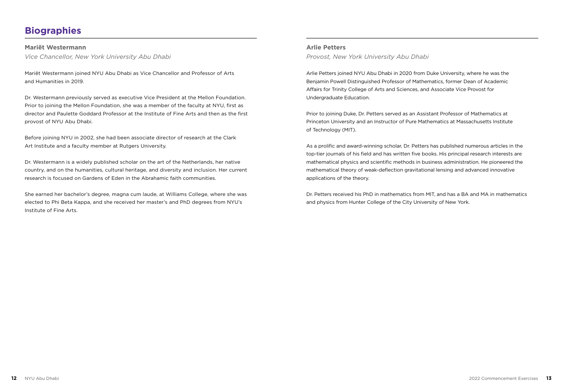**Mariët Westermann**  *Vice Chancellor, New York University Abu Dhabi* 

Mariët Westermann joined NYU Abu Dhabi as Vice Chancellor and Professor of Arts and Humanities in 2019.

Dr. Westermann previously served as executive Vice President at the Mellon Foundation. Prior to joining the Mellon Foundation, she was a member of the faculty at NYU, frst as director and Paulette Goddard Professor at the Institute of Fine Arts and then as the frst provost of NYU Abu Dhabi.

Before joining NYU in 2002, she had been associate director of research at the Clark Art Institute and a faculty member at Rutgers University.

Dr. Westermann is a widely published scholar on the art of the Netherlands, her native country, and on the humanities, cultural heritage, and diversity and inclusion. Her current research is focused on Gardens of Eden in the Abrahamic faith communities.

She earned her bachelor's degree, magna cum laude, at Williams College, where she was elected to Phi Beta Kappa, and she received her master's and PhD degrees from NYU's Institute of Fine Arts.

#### **Arlie Petters**

*Provost, New York University Abu Dhabi* 

Arlie Petters joined NYU Abu Dhabi in 2020 from Duke University, where he was the Benjamin Powell Distinguished Professor of Mathematics, former Dean of Academic Afairs for Trinity College of Arts and Sciences, and Associate Vice Provost for Undergraduate Education.

Prior to joining Duke, Dr. Petters served as an Assistant Professor of Mathematics at Princeton University and an Instructor of Pure Mathematics at Massachusetts Institute of Technology (MIT).

As a prolifc and award-winning scholar, Dr. Petters has published numerous articles in the top-tier journals of his field and has written five books. His principal research interests are mathematical physics and scientifc methods in business administration. He pioneered the mathematical theory of weak-defection gravitational lensing and advanced innovative applications of the theory.

Dr. Petters received his PhD in mathematics from MIT, and has a BA and MA in mathematics and physics from Hunter College of the City University of New York.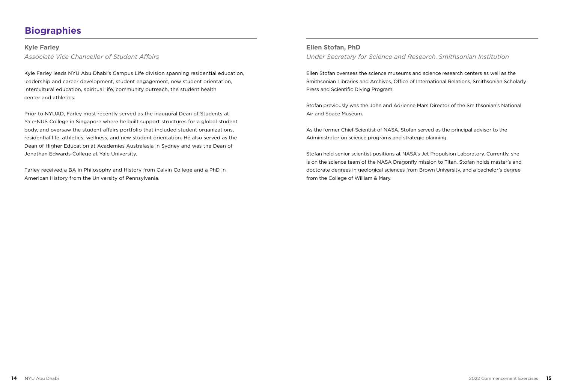### **Kyle Farley**  *Associate Vice Chancellor of Student Affairs*

 center and athletics. Kyle Farley leads NYU Abu Dhabi's Campus Life division spanning residential education, leadership and career development, student engagement, new student orientation, intercultural education, spiritual life, community outreach, the student health

Jonathan Edwards College at Yale University. Prior to NYUAD, Farley most recently served as the inaugural Dean of Students at Yale-NUS College in Singapore where he built support structures for a global student body, and oversaw the student afairs portfolio that included student organizations, residential life, athletics, wellness, and new student orientation. He also served as the Dean of Higher Education at Academies Australasia in Sydney and was the Dean of

Farley received a BA in Philosophy and History from Calvin College and a PhD in American History from the University of Pennsylvania.

### **Ellen Stofan, PhD**

*Under Secretary for Science and Research Smithsonian Institution*  ،

Ellen Stofan oversees the science museums and science research centers as well as the Smithsonian Libraries and Archives, Office of International Relations, Smithsonian Scholarly Press and Scientific Diving Program.

Stofan previously was the John and Adrienne Mars Director of the Smithsonian's National Air and Space Museum.

As the former Chief Scientist of NASA, Stofan served as the principal advisor to the Administrator on science programs and strategic planning.

Stofan held senior scientist positions at NASA's Jet Propulsion Laboratory. Currently, she is on the science team of the NASA Dragonfy mission to Titan. Stofan holds master's and doctorate degrees in geological sciences from Brown University, and a bachelor's degree from the College of William & Mary.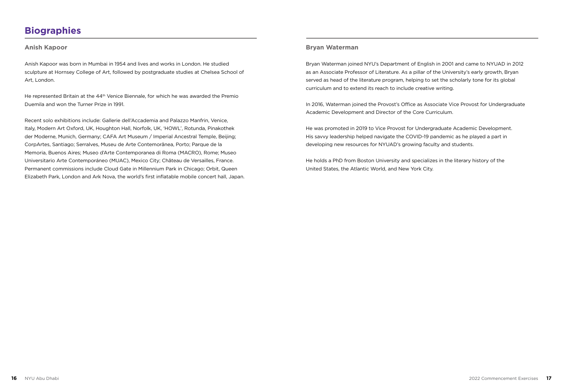**Anish Kapoor** 

Anish Kapoor was born in Mumbai in 1954 and lives and works in London. He studied sculpture at Hornsey College of Art, followed by postgraduate studies at Chelsea School of Art, London.

He represented Britain at the 44<sup>th</sup> Venice Biennale, for which he was awarded the Premio Duemila and won the Turner Prize in 1991.

Recent solo exhibitions include: Gallerie dell'Accademia and Palazzo Manfrin, Venice, Italy, Modern Art Oxford, UK, Houghton Hall, Norfolk, UK, 'HOWL', Rotunda, Pinakothek der Moderne, Munich, Germany; CAFA Art Museum / Imperial Ancestral Temple, Beijing; CorpArtes, Santiago; Serralves, Museu de Arte Contemorânea, Porto; Parque de la Memoria, Buenos Aires; Museo d'Arte Contemporanea di Roma (MACRO), Rome; Museo Universitario Arte Contemporáneo (MUAC), Mexico City; Château de Versailles, France. Permanent commissions include Cloud Gate in Millennium Park in Chicago; Orbit, Queen Elizabeth Park, London and Ark Nova, the world's frst infatable mobile concert hall, Japan.

### **Bryan Waterman**

Bryan Waterman joined NYU's Department of English in 2001 and came to NYUAD in 2012 as an Associate Professor of Literature. As a pillar of the University's early growth, Bryan served as head of the literature program, helping to set the scholarly tone for its global curriculum and to extend its reach to include creative writing.

In 2016, Waterman joined the Provost's Office as Associate Vice Provost for Undergraduate Academic Development and Director of the Core Curriculum.

He was promoted in 2019 to Vice Provost for Undergraduate Academic Development. His savvy leadership helped navigate the COVID-19 pandemic as he played a part in developing new resources for NYUAD's growing faculty and students.

He holds a PhD from Boston University and specializes in the literary history of the United States, the Atlantic World, and New York City.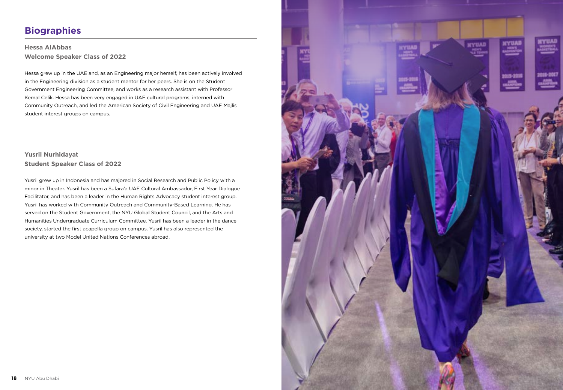**Hessa AlAbbas Welcome Speaker Class of 2022** 

Hessa grew up in the UAE and, as an Engineering major herself, has been actively involved in the Engineering division as a student mentor for her peers. She is on the Student Government Engineering Committee, and works as a research assistant with Professor Kemal Celik. Hessa has been very engaged in UAE cultural programs, interned with Community Outreach, and led the American Society of Civil Engineering and UAE Majlis student interest groups on campus.

**Yusril Nurhidayat Student Speaker Class of 2022** 

Yusril grew up in Indonesia and has majored in Social Research and Public Policy with a minor in Theater. Yusril has been a Sufara'a UAE Cultural Ambassador, First Year Dialogue Facilitator, and has been a leader in the Human Rights Advocacy student interest group. Yusril has worked with Community Outreach and Community-Based Learning. He has served on the Student Government, the NYU Global Student Council, and the Arts and Humanities Undergraduate Curriculum Committee. Yusril has been a leader in the dance society, started the frst acapella group on campus. Yusril has also represented the university at two Model United Nations Conferences abroad.

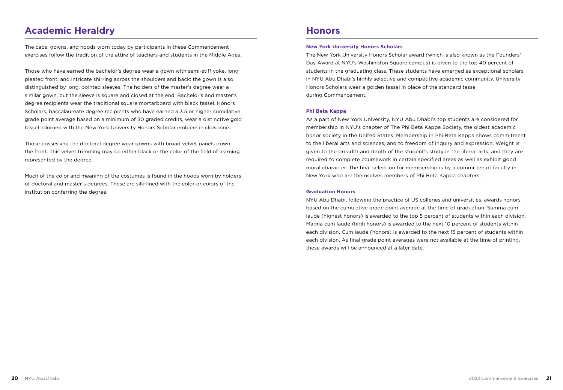## **Academic Heraldry**

The caps, gowns, and hoods worn today by participants in these Commencement exercises follow the tradition of the attire of teachers and students in the Middle Ages.

Those who have earned the bachelor's degree wear a gown with semi-stiff yoke, long pleated front, and intricate shirring across the shoulders and back; the gown is also distinguished by long, pointed sleeves. The holders of the master's degree wear a similar gown, but the sleeve is square and closed at the end. Bachelor's and master's degree recipients wear the traditional square mortarboard with black tassel. Honors Scholars, baccalaureate degree recipients who have earned a 3.5 or higher cumulative grade point average based on a minimum of 30 graded credits, wear a distinctive gold tassel adorned with the New York University Honors Scholar emblem in cloisonné.

Those possessing the doctoral degree wear gowns with broad velvet panels down the front. This velvet trimming may be either black or the color of the field of learning represented by the degree.

Much of the color and meaning of the costumes is found in the hoods worn by holders of doctoral and master's degrees. These are silk-lined with the color or colors of the institution conferring the degree.

### **Honors**

#### **New York University Honors Scholars**

The New York University Honors Scholar award (which is also known as the Founders' Day Award at NYU's Washington Square campus) is given to the top 40 percent of students in the graduating class. These students have emerged as exceptional scholars in NYU Abu Dhabi's highly selective and competitive academic community. University Honors Scholars wear a golden tassel in place of the standard tassel during Commencement.

#### **Phi Beta Kappa**

As a part of New York University, NYU Abu Dhabi's top students are considered for membership in NYU's chapter of The Phi Beta Kappa Society, the oldest academic honor society in the United States. Membership in Phi Beta Kappa shows commitment to the liberal arts and sciences, and to freedom of inquiry and expression. Weight is given to the breadth and depth of the student's study in the liberal arts, and they are required to complete coursework in certain specified areas as well as exhibit good moral character. The final selection for membership is by a committee of faculty in New York who are themselves members of Phi Beta Kappa chapters.

#### **Graduation Honors**

NYU Abu Dhabi, following the practice of US colleges and universities, awards honors based on the cumulative grade point average at the time of graduation. Summa cum laude (highest honors) is awarded to the top 5 percent of students within each division. Magna cum laude (high honors) is awarded to the next 10 percent of students within each division. Cum laude (honors) is awarded to the next 15 percent of students within each division. As final grade point averages were not available at the time of printing, these awards will be announced at a later date.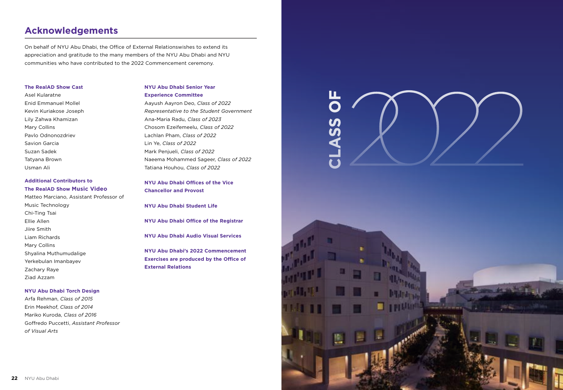## **Acknowledgements**

On behalf of NYU Abu Dhabi, the Office of External Relationswishes to extend its appreciation and gratitude to the many members of the NYU Abu Dhabi and NYU communities who have contributed to the 2022 Commencement ceremony.

#### **The RealAD Show Cast**

Asel Kularatne Enid Emmanuel Mollel Kevin Kuriakose Joseph Lily Zahwa Khamizan Mary Collins Pavlo Odnonozdriev Savion Garcia Suzan Sadek Tatyana Brown Usman Ali

#### **Additional Contributors to The RealAD Show Music Video**

Matteo Marciano, Assistant Professor of Music Technology Chi-Ting Tsai Ellie Allen Jiire Smith Liam Richards Mary Collins Shyalina Muthumudalige Yerkebulan Imanbayev Zachary Raye Ziad Azzam

#### **NYU Abu Dhabi Torch Design**

Arfa Rehman, *Class of 2015*  Erin Meekhof, *Class of 2014*  Mariko Kuroda, *Class of 2016*  Gofredo Puccetti, *Assistant Professor of Visual Arts* 

#### **NYU Abu Dhabi Senior Year Experience Committee**

Aayush Aayron Deo, *Class of 2022 Representative to the Student Government*  Ana-Maria Radu, *Class of 2023*  Chosom Ezeifemeelu, *Class of 2022*  Lachlan Pham, *Class of 2022*  Lin Ye, *Class of 2022*  Mark Penjueli, *Class of 2022*  Naeema Mohammed Sageer, *Class of 2022*  Tatiana Houhou, *Class of 2022* 

### **NYU Abu Dhabi Offices of the Vice Chancellor and Provost**

**NYU Abu Dhabi Student Life** 

**NYU Abu Dhabi Office of the Registrar** 

**NYU Abu Dhabi Audio Visual Services** 

**NYU Abu Dhabi's 2022 Commencement Exercises are produced by the Office of External Relations** 



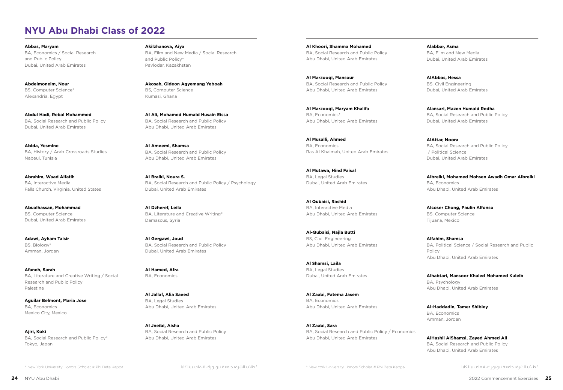**Abbas, Maryam**  BA, Economics / Social Research and Public Policy Dubai, United Arab Emirates

**Abdelmoneim, Nour**  BS, Computer Science\* Alexandria, Egypt

**Abdul Hadi, Rebal Mohammed**  BA, Social Research and Public Policy Dubai, United Arab Emirates

**Abida, Yesmine**  BA, History / Arab Crossroads Studies Nabeul, Tunisia

**Abrahim, Waad Alfatih**  BA, Interactive Media Falls Church, Virginia, United States

**Abualhassan, Mohammad**  BS, Computer Science Dubai, United Arab Emirates

**Adawi, Ayham Taisir**  BS, Biology\* Amman, Jordan

**Afaneh, Sarah**  BA, Literature and Creative Writing / Social Research and Public Policy Palestine

**Aguilar Belmont, Maria Jose**  BA, Economics Mexico City, Mexico

**Ajiri, Koki**  BA, Social Research and Public Policy\* Tokyo, Japan

**Akilzhanova, Aiya**  BA, Film and New Media / Social Research and Public Policy\* Pavlodar, Kazakhstan

**Akosah, Gideon Agyemang Yeboah**  BS, Computer Science Kumasi, Ghana

**Al Ali, Mohamed Humaid Husain Eissa**  BA, Social Research and Public Policy Abu Dhabi, United Arab Emirates

**Al Ameemi, Shamsa**  BA, Social Research and Public Policy Abu Dhabi, United Arab Emirates

**Al Braiki, Noura S.**  BA, Social Research and Public Policy / Psychology Dubai, United Arab Emirates

**Al Dzheref, Leila**  BA, Literature and Creative Writing\* Damascus, Syria

**Al Gergawi, Joud**  BA, Social Research and Public Policy Dubai, United Arab Emirates

 BA, Economics **Al Hamed, Afra** 

**Al Jallaf, Alia Saeed**  BA, Legal Studies Abu Dhabi, United Arab Emirates

**Al Jneibi, Aisha**  BA, Social Research and Public Policy Abu Dhabi, United Arab Emirates

**Al Khoori, Shamma Mohamed**  BA, Social Research and Public Policy Abu Dhabi, United Arab Emirates

**Al Marzooqi, Mansour**  BA, Social Research and Public Policy Abu Dhabi, United Arab Emirates

**Al Marzooqi, Maryam Khalifa**  BA, Economics\* Abu Dhabi, United Arab Emirates

**Al Musalli, Ahmed**  BA, Economics Ras Al Khaimah, United Arab Emirates

**Al Mutawa, Hind Faisal**  BA, Legal Studies Dubai, United Arab Emirates

**Al Qubaisi, Rashid**  BA, Interactive Media Abu Dhabi, United Arab Emirates

**Al-Qubaisi, Najla Butti**  BS, Civil Engineering Abu Dhabi, United Arab Emirates

**Al Shamsi, Laila**  BA, Legal Studies Dubai, United Arab Emirates

**Al Zaabi, Fatema Jasem**  BA, Economics Abu Dhabi, United Arab Emirates

**Al Zaabi, Sara**  BA, Social Research and Public Policy / Economics Abu Dhabi, United Arab Emirates

**Alabbar, Asma**  BA, Film and New Media Dubai, United Arab Emirates

**AlAbbas, Hessa**  BS, Civil Engineering Dubai, United Arab Emirates

**Alansari, Mazen Humaid Redha**  BA, Social Research and Public Policy Dubai, United Arab Emirates

**AlAttar, Noora**  BA, Social Research and Public Policy / Political Science Dubai, United Arab Emirates

**Albreiki, Mohamed Mohsen Awadh Omar Albreiki**  BA, Economics Abu Dhabi, United Arab Emirates

**Alcoser Chong, Paulin Alfonso**  BS, Computer Science Tijuana, Mexico

**Alfahim, Shamsa**  BA, Political Science / Social Research and Public Policy Abu Dhabi, United Arab Emirates

**Alhabtari, Mansoor Khaled Mohamed Kuleib**  BA, Psychology Abu Dhabi, United Arab Emirates

**Al-Haddadin, Tamer Shibley**  BA, Economics Amman, Jordan

**AlHashli AlShamsi, Zayed Ahmed Ali**  BA, Social Research and Public Policy Abu Dhabi, United Arab Emirates

\* طلاب الشرف جامعة نيويورك، # فاي بيتا كابا للشرف جامعة نيويورك، # Kappa Kappa Beta Kappa الألب الشرف جامعة نيويورك، # فاي بيتا كابا Kappa الألب الشرف جامعة نيويورك، # فاي بيتا كابا Kappa الألب الشرف جامعة نيويورك، # فاي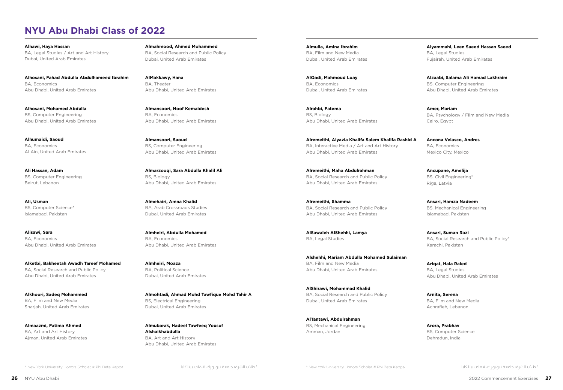**Alhawi, Haya Hassan**  BA, Legal Studies / Art and Art History Dubai, United Arab Emirates

**Alhosani, Fahad Abdulla Abdulhameed Ibrahim**  BA, Economics Abu Dhabi, United Arab Emirates

**Alhosani, Mohamed Abdulla**  BS, Computer Engineering Abu Dhabi, United Arab Emirates

**Alhumaidi, Saoud**  BA, Economics Al Ain, United Arab Emirates

**Ali Hassan, Adam**  BS, Computer Engineering Beirut, Lebanon

**Ali, Usman**  BS, Computer Science\* Islamabad, Pakistan

**Alisawi, Sara**  BA, Economics Abu Dhabi, United Arab Emirates

**Alketbi, Bakheetah Awadh Tareef Mohamed**  BA, Social Research and Public Policy Abu Dhabi, United Arab Emirates

**Alkhoori, Sadeq Mohammed**  BA, Film and New Media Sharjah, United Arab Emirates

**Almaazmi, Fatima Ahmed**  BA, Art and Art History Ajman, United Arab Emirates **Almahmood, Ahmed Mohammed**  BA, Social Research and Public Policy Dubai, United Arab Emirates

**AlMakkawy, Hana**  BA, Theater Abu Dhabi, United Arab Emirates

**Almansoori, Noof Kemaidesh**  BA, Economics Abu Dhabi, United Arab Emirates

**Almansoori, Saoud**  BS, Computer Engineering Abu Dhabi, United Arab Emirates

**Almarzooqi, Sara Abdulla Khalil Ali**  BS, Biology Abu Dhabi, United Arab Emirates

**Almehairi, Amna Khalid**  BA, Arab Crossroads Studies Dubai, United Arab Emirates

**Almheiri, Abdulla Mohamed**  BA, Economics Abu Dhabi, United Arab Emirates

**Almheiri, Moaza**  BA, Political Science Dubai, United Arab Emirates

**Almohtadi, Ahmad Mohd Tawfque Mohd Tahir A**  BS, Electrical Engineering Dubai, United Arab Emirates

**Almubarak, Hadeel Tawfeeq Yousof Alshaikhabdulla**  BA, Art and Art History Abu Dhabi, United Arab Emirates

**Almulla, Amina Ibrahim**  BA, Film and New Media Dubai, United Arab Emirates

**AlQadi, Mahmoud Loay**  BA, Economics Dubai, United Arab Emirates

**Alrahbi, Fatema**  BS, Biology Abu Dhabi, United Arab Emirates

**Alremeithi, Alyazia Khalifa Salem Khalifa Rashid A**  BA, Interactive Media / Art and Art History Abu Dhabi, United Arab Emirates

**Alremeithi, Maha Abdulrahman**  BA, Social Research and Public Policy Abu Dhabi, United Arab Emirates

**Alremeithi, Shamma**  BA, Social Research and Public Policy Abu Dhabi, United Arab Emirates

 BA, Legal Studies **AlSawaleh AlShehhi, Lamya** 

**Alshehhi, Mariam Abdulla Mohamed Sulaiman**  BA, Film and New Media Abu Dhabi, United Arab Emirates

**AlShirawi, Mohammad Khalid**  BA, Social Research and Public Policy Dubai, United Arab Emirates

**AlTantawi, Abdulrahman**  BS, Mechanical Engineering Amman, Jordan

**Alyammahi, Leen Saeed Hassan Saeed**  BA, Legal Studies Fujairah, United Arab Emirates

**Alzaabi, Salama Ali Hamad Lakhraim**  BS, Computer Engineering Abu Dhabi, United Arab Emirates

**Amer, Mariam**  BA, Psychology / Film and New Media Cairo, Egypt

**Ancona Velasco, Andres**  BA, Economics Mexico City, Mexico

**Ancupane, Amelija**  BS, Civil Engineering\* Riga, Latvia

**Ansari, Hamza Nadeem**  BS, Mechanical Engineering Islamabad, Pakistan

**Ansari, Suman Razi**  BA, Social Research and Public Policy\* Karachi, Pakistan

**Ariqat, Hala Raied**  BA, Legal Studies Abu Dhabi, United Arab Emirates

**Arnita, Serena**  BA, Film and New Media Achrafieh, Lebanon

**Arora, Prabhav**  BS, Computer Science Dehradun, India

\* طلاب الشرف جامعة نيويورك، # فاي بيتا كابا للشرف جامعة نيويورك، # Kappa Kappa Beta Kappa الألب الشرف جامعة نيويورك، # فاي بيتا كابا Kappa الألب الشرف جامعة نيويورك، # فاي بيتا كابا Kappa الألب الشرف جامعة نيويورك، # فاي

**26** NYU Abu Dhabi 2022 Commencement Exercises **27**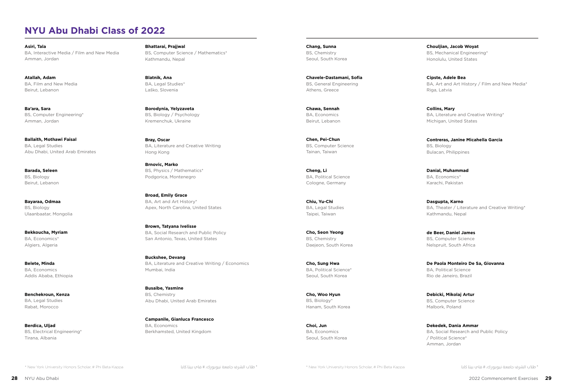**Asiri, Tala**  BA, Interactive Media / Film and New Media Amman, Jordan

**Atallah, Adam**  BA, Film and New Media Beirut, Lebanon

**Ba'ara, Sara**  BS, Computer Engineering\* Amman, Jordan

**Ballaith, Mothawi Faisal**  BA, Legal Studies Abu Dhabi, United Arab Emirates

**Barada, Seleen**  BS, Biology Beirut, Lebanon

**Bayaraa, Odmaa**  BS, Biology Ulaanbaatar, Mongolia

**Bekkoucha, Myriam**  BA, Economics\* Algiers, Algeria

**Belete, Minda**  BA, Economics Addis Ababa, Ethiopia

**Benchekroun, Kenza**  BA, Legal Studies Rabat, Morocco

**Berdica, Uljad**  BS, Electrical Engineering\* Tirana, Albania

**Bhattarai, Prajjwal**  BS, Computer Science / Mathematics\* Kathmandu, Nepal

**Blatnik, Ana**  BA, Legal Studies\* Laško, Slovenia

**Borodynia, Yelyzaveta**  BS, Biology / Psychology Kremenchuk, Ukraine

 **Bray, Oscar** BA, Literature and Creative Writing Hong Kong

**Brnovic, Marko**  BS, Physics / Mathematics\* Podgorica, Montenegro

**Broad, Emily Grace**  BA, Art and Art History\* Apex, North Carolina, United States

**Brown, Tatyana Ivelisse**  BA, Social Research and Public Policy San Antonio, Texas, United States

**Buckshee, Devang**  BA, Literature and Creative Writing / Economics Mumbai, India

**Busaibe, Yasmine**  BS, Chemistry Abu Dhabi, United Arab Emirates

**Campanile, Gianluca Francesco**  BA, Economics Berkhamsted, United Kingdom

**Chang, Sunna**  BS, Chemistry Seoul, South Korea

**Chavele-Dastamani, Sofa**  BS, General Engineering Athens, Greece

**Chawa, Sennah**  BA, Economics Beirut, Lebanon

**Chen, Pei-Chun**  BS, Computer Science Tainan, Taiwan

**Cheng, Li**  BA, Political Science Cologne, Germany

**Chiu, Yu-Chi**  BA, Legal Studies Taipei, Taiwan

**Cho, Seon Yeong**  BS, Chemistry Daejeon, South Korea

**Cho, Sung Hwa**  BA, Political Science\* Seoul, South Korea

**Cho, Woo Hyun**  BS, Biology\* Hanam, South Korea

**Choi, Jun**  BA, Economics Seoul, South Korea **Chouljian, Jacob Woyat**  BS, Mechanical Engineering\* Honolulu, United States

**Cipste, Adele Bea**  BA, Art and Art History / Film and New Media\* Riga, Latvia

**Collins, Mary**  BA, Literature and Creative Writing\* Michigan, United States

**Contreras, Janine Micahella Garcia**  BS, Biology Bulacan, Philippines

**Danial, Muhammad**  BA, Economics\* Karachi, Pakistan

**Dasgupta, Karno**  BA, Theater / Literature and Creative Writing\* Kathmandu, Nepal

**de Beer, Daniel James**  BS, Computer Science Nelspruit, South Africa

**De Paola Monteiro De Sa, Giovanna**  BA, Political Science Rio de Janeiro, Brazil

**Debicki, Mikolaj Artur**  BS, Computer Science Malbork, Poland

**Dekedek, Dania Ammar**  BA, Social Research and Public Policy / Political Science\* Amman, Jordan

\* طلاب الشرف جامعة نيويورك، # فاي بيتا كابا للشرف جامعة نيويورك، # Kappa Kappa Beta Kappa الألب الشرف جامعة نيويورك، # فاي بيتا كابا Kappa الألب الشرف جامعة نيويورك، # فاي بيتا كابا Kappa الألب الشرف جامعة نيويورك، # فاي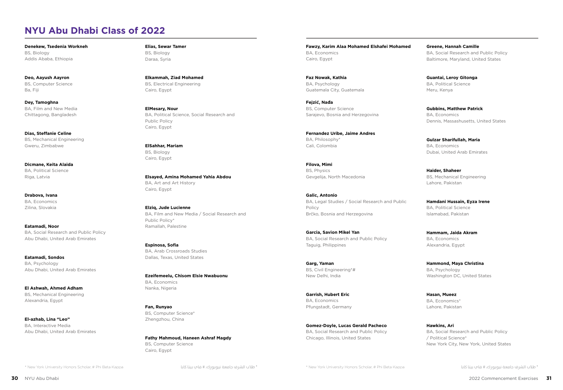**Denekew, Tsedenia Workneh**  BS, Biology Addis Ababa, Ethiopia

**Deo, Aayush Aayron**  BS, Computer Science Ba, Fiji

**Dey, Tamoghna**  BA, Film and New Media Chittagong, Bangladesh

**Dias, Stefanie Celine**  BS, Mechanical Engineering Gweru, Zimbabwe

**Dicmane, Keita Alaida**  BA, Political Science Riga, Latvia

**Drabova, Ivana**  BA, Economics Zilina, Slovakia

**Eatamadi, Noor**  BA, Social Research and Public Policy Abu Dhabi, United Arab Emirates

**Eatamadi, Sondos**  BA, Psychology Abu Dhabi, United Arab Emirates

**El Ashwah, Ahmed Adham**  BS, Mechanical Engineering Alexandria, Egypt

**El-azhab, Lina "Leo"**  BA, Interactive Media Abu Dhabi, United Arab Emirates **Elias, Sewar Tamer** 

BS, Biology Daraa, Syria

**Elkammah, Ziad Mohamed**  BS, Electrical Engineering Cairo, Egypt

**ElMesary, Nour**  BA, Political Science, Social Research and Public Policy Cairo, Egypt

**ElSahhar, Mariam**  BS, Biology Cairo, Egypt

**Elsayed, Amina Mohamed Yahia Abdou**  BA, Art and Art History Cairo, Egypt

**Elziq, Jude Lucienne**  BA, Film and New Media / Social Research and Public Policy\* Ramallah, Palestine

**Espinosa, Sofa**  BA, Arab Crossroads Studies Dallas, Texas, United States

**Ezeifemeelu, Chisom Elsie Nwabuonu**  BA, Economics Nanka, Nigeria

**Fan, Runyao**  BS, Computer Science\* Zhengzhou, China

**Fathy Mahmoud, Haneen Ashraf Magdy**  BS, Computer Science Cairo, Egypt

**Fawzy, Karim Alaa Mohamed Elshafei Mohamed**  BA, Economics Cairo, Egypt

**Faz Nowak, Kathia**  BA, Psychology Guatemala City, Guatemala

**Fejzić, Nađa**  BS, Computer Science Sarajevo, Bosnia and Herzegovina

**Fernandez Uribe, Jaime Andres**  BA, Philosophy\* Cali, Colombia

**Filova, Mimi**  BS, Physics Gevgelija, North Macedonia

**Galic, Antonio**  BA, Legal Studies / Social Research and Public Policy Brčko, Bosnia and Herzegovina

**Garcia, Savion Mikel Yan**  BA, Social Research and Public Policy Taguig, Philippines

**Garg, Yaman**  BS, Civil Engineering\*# New Delhi, India

**Garrish, Hubert Eric**  BA, Economics Pfungstadt, Germany

**Gomez-Doyle, Lucas Gerald Pacheco**  BA, Social Research and Public Policy Chicago, Illinois, United States

**Greene, Hannah Camille**  BA, Social Research and Public Policy Baltimore, Maryland, United States

**Guantai, Leroy Gitonga**  BA, Political Science Meru, Kenya

**Gubbins, Matthew Patrick**  BA, Economics Dennis, Massashusetts, United States

**Gulzar Sharifullah, Maria**  BA, Economics Dubai, United Arab Emirates

**Haider, Shaheer**  BS, Mechanical Engineering Lahore, Pakistan

**Hamdani Hussain, Eyza Irene**  BA, Political Science Islamabad, Pakistan

**Hammam, Jaida Akram**  BA, Economics Alexandria, Egypt

**Hammond, Maya Christina**  BA, Psychology Washington DC, United States

**Hasan, Mueez**  BA, Economics\* Lahore, Pakistan

/ Political Science\* **Hawkins, Ari**  BA, Social Research and Public Policy New York City, New York, United States

\* طلاب الشرف جامعة نيويورك، # فاي بيتا كابا للشرف جامعة نيويورك، # hew York University Honors Scholar, # Phi Beta Kappa \* \* طلب الشرف جامعة نيويورك، # فاي بيتا كابا لشرف جامعة نيويورك، # فاي بيتا كابا لشرف جامعة نيويورك،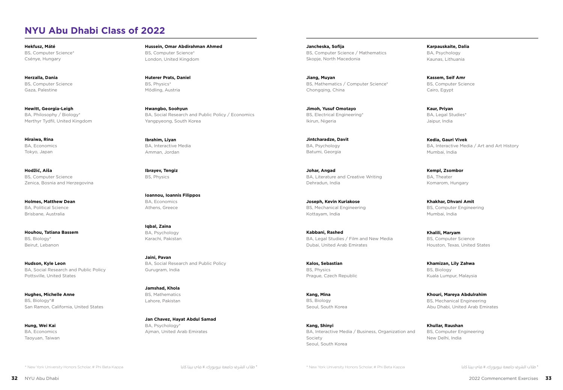**Hekfusz, Máté**  BS, Computer Science\* Csénye, Hungary

**Herzalla, Dania**  BS, Computer Science Gaza, Palestine

**Hewitt, Georgia-Leigh**  BA, Philosophy / Biology\* Merthyr Tydfil, United Kingdom

**Hiraiwa, Rina**  BA, Economics Tokyo, Japan

**Hodžić, Aiša**  BS, Computer Science Zenica, Bosnia and Herzegovina

**Holmes, Matthew Dean**  BA, Political Science Brisbane, Australia

**Houhou, Tatiana Bassem**  BS, Biology\* Beirut, Lebanon

**Hudson, Kyle Leon**  BA, Social Research and Public Policy Pottsville, United States

**Hughes, Michelle Anne**  BS, Biology\*# San Ramon, California, United States

**Hung, Wei Kai**  BA, Economics Taoyuan, Taiwan **Hussein, Omar Abdirahman Ahmed**  BS, Computer Science\* London, United Kingdom

**Huterer Prats, Daniel**  BS, Physics\* Mödling, Austria

**Hwangbo, Soohyun**  BA, Social Research and Public Policy / Economics Yangpyeong, South Korea

**Ibrahim, Liyan**  BA, Interactive Media Amman, Jordan

 BS, Physics **Ibrayev, Tengiz** 

**Ioannou, Ioannis Filippos**  BA, Economics Athens, Greece

**Iqbal, Zaina**  BA, Psychology Karachi, Pakistan

**Jaini, Pavan**  BA, Social Research and Public Policy Gurugram, India

**Jamshad, Khola**  BS, Mathematics Lahore, Pakistan

**Jan Chavez, Hayat Abdul Samad**  BA, Psychology\* Ajman, United Arab Emirates

**Jancheska, Sofja**  BS, Computer Science / Mathematics Skopje, North Macedonia

**Jiang, Muyan**  BS, Mathematics / Computer Science\* Chongging, China

**Jimoh, Yusuf Omotayo**  BS, Electrical Engineering\* Ikirun, Nigeria

**Jintcharadze, Davit**  BA, Psychology Batumi, Georgia

**Johar, Angad**  BA, Literature and Creative Writing Dehradun, India

**Joseph, Kevin Kuriakose**  BS, Mechanical Engineering Kottayam, India

**Kabbani, Rashed**  BA, Legal Studies / Film and New Media Dubai, United Arab Emirates

**Kalos, Sebastian**  BS, Physics Prague, Czech Republic

**Kang, Mina**  BS, Biology Seoul, South Korea

**Kang, Shinyi**  BA, Interactive Media / Business, Organization and Society Seoul, South Korea

**Karpauskaite, Dalia**  BA, Psychology Kaunas, Lithuania

**Kassem, Seif Amr**  BS, Computer Science Cairo, Egypt

**Kaur, Priyan**  BA, Legal Studies\* Jaipur, India

**Kedia, Gauri Vivek**  BA, Interactive Media / Art and Art History Mumbai, India

**Kempl, Zsombor**  BA, Theater Komarom, Hungary

**Khakhar, Dhvani Amit**  BS, Computer Engineering Mumbai, India

**Khalili, Maryam**  BS, Computer Science Houston, Texas, United States

**Khamizan, Lily Zahwa**  BS, Biology Kuala Lumpur, Malaysia

**Khouri, Mareya Abdulrahim**  BS, Mechanical Engineering Abu Dhabi, United Arab Emirates

**Khullar, Raushan**  BS, Computer Engineering New Delhi, India

\* طلاب الشرف جامعة نيويورك، # فاي بيتا كابا للشرف جامعة نيويورك، # hew York University Honors Scholar, # Phi Beta Kappa \* \* طلب الشرف جامعة نيويورك، # فاي بيتا كابا لشرف جامعة نيويورك، # فاي بيتا كابا لشرف جامعة نيويورك،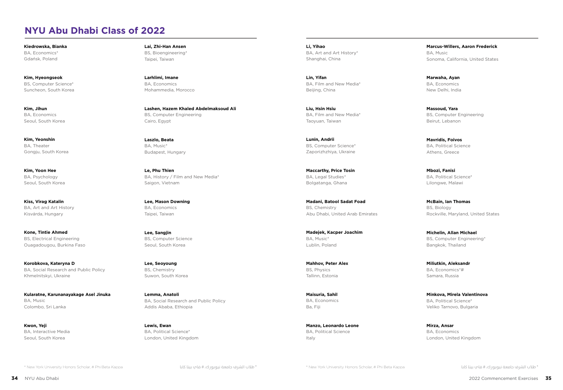**Kiedrowska, Bianka**  BA, Economics\* Gdańsk, Poland

**Kim, Hyeongseok**  BS, Computer Science\* Suncheon, South Korea

**Kim, Jihun**  BA, Economics Seoul, South Korea

**Kim, Yeonshin**  BA, Theater Gongju, South Korea

**Kim, Yoon Hee**  BA, Psychology Seoul, South Korea

**Kiss, Virag Katalin**  BA, Art and Art History Kisvárda, Hungary

**Kone, Tintie Ahmed**  BS, Electrical Engineering Ouagadougou, Burkina Faso

**Korobkova, Kateryna D**  BA, Social Research and Public Policy Khmelnitskyi, Ukraine

**Kularatne, Karunanayakage Asel Jinuka**  BA, Music Colombo, Sri Lanka

**Kwon, Yeji**  BA, Interactive Media Seoul, South Korea

**Lai, Zhi-Han Ansen**  BS, Bioengineering\* Taipei, Taiwan

**Larhlimi, Imane**  BA, Economics Mohammedia, Morocco

**Lashen, Hazem Khaled Abdelmaksoud Ali**  BS, Computer Engineering Cairo, Egypt

**Laszlo, Beata**  BA, Music\* Budapest, Hungary

**Le, Phu Thien**  BA, History / Film and New Media\* Saigon, Vietnam

**Lee, Mason Downing**  BA, Economics Taipei, Taiwan

**Lee, Sangjin**  BS, Computer Science Seoul, South Korea

**Lee, Seoyoung**  BS, Chemistry Suwon, South Korea

**Lemma, Anatoli**  BA, Social Research and Public Policy Addis Ababa, Ethiopia

**Lewis, Ewan**  BA, Political Science\* London, United Kingdom

**Li, Yihao**  BA, Art and Art History\* Shanghai, China

**Lin, Yifan**  BA, Film and New Media\* Beijing, China

**Liu, Hsin Hsiu**  BA, Film and New Media\* Taoyuan, Taiwan

**Lunin, Andrii**  BS, Computer Science\* Zaporizhzhiya, Ukraine

**Maccarthy, Price Tosin**  BA, Legal Studies\* Bolgatanga, Ghana

**Madani, Batool Sadat Foad**  BS, Chemistry Abu Dhabi, United Arab Emirates

**Madejek, Kacper Joachim**  BA, Music\* Lublin, Poland

**Mahhov, Peter Alex**  BS, Physics Tallinn, Estonia

**Maisuria, Sahil**  BA, Economics Ba, Fiji

**Manzo, Leonardo Leone**  BA, Political Science Italy

**Marcus-Willers, Aaron Frederick**  BA, Music Sonoma, California, United States

**Marwaha, Ayan**  BA, Economics New Delhi, India

**Massoud, Yara**  BS, Computer Engineering Beirut, Lebanon

 Athens, Greece **Mavridis, Foivos**  BA, Political Science

**Mbozi, Fanisi**  BA, Political Science\* Lilongwe, Malawi

**McBain, Ian Thomas**  BS, Biology Rockville, Maryland, United States

**Michelin, Allan Michael**  BS, Computer Engineering\* Bangkok, Thailand

**Miliutkin, Aleksandr**  BA, Economics\*# Samara, Russia

**Minkova, Mirela Valentinova**  BA, Political Science\* Veliko Tarnovo, Bulgaria

**Mirza, Ansar**  BA, Economics London, United Kingdom

\* طلاب الشرف جامعة نيويورك، # فاي بيتا كابا للشرف جامعة نيويورك، # New York University Honors Scholar, # Phi Beta Kappa الشرف جامعة نيويورك، # فاي بيتا كابا Kappa Beta Kappa Beta Rappa Beta Rappa فطلاب الشرف جامعة نيويورك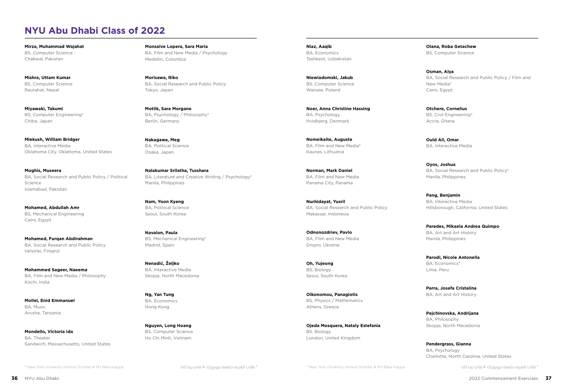**Mirza, Muhammad Wajahat**  BS, Computer Science Chakwal, Pakistan

**Mishra, Uttam Kumar**  BS, Computer Science Rautahat, Nepal

**Miyawaki, Takumi**  BS, Computer Engineering\* Chiba, Japan

**Mlekush, William Bridger**  BA, Interactive Media Oklahoma City, Oklahoma, United States

**Moghis, Museera**  BA, Social Research and Public Policy / Political Science Islamabad, Pakistan

**Mohamed, Abdullah Amr**  BS, Mechanical Engineering Cairo, Egypt

**Mohamed, Furqan Abdirahman**  BA, Social Research and Public Policy Helsinki, Finland

**Mohammed Sageer, Naeema**  BA, Film and New Media / Philosophy Kochi, India

**Mollel, Enid Emmanuel**  BA, Music Arusha, Tanzania

**Mondello, Victoria Ida**  BA, Theater Sandwich, Massachusetts, United States **Monsalve Lopera, Sara Maria**  BA, Film and New Media / Psychology Medellin, Colombia

**Morisawa, Riko**  BA, Social Research and Public Policy Tokyo, Japan

**Motlik, Sara Morgane**  BA, Psychology / Philosophy\* Berlin, Germany

**Nakagawa, Meg**  BA, Political Science Osaka, Japan

**Nalakumar Srilatha, Tusshara**  BA, Literature and Creative Writing / Psychology\* Manila, Philippines

**Nam, Yoon Kyeng**  BA, Political Science Seoul, South Korea

**Navalon, Paula**  BS, Mechanical Engineering\* Madrid, Spain

**Nenadić, Željko**  BA, Interactive Media Skopje, North Macedonia

**Ng, Yan Tung**  BA, Economics Hong Kong

**Nguyen, Long Hoang**  BS, Computer Science Ho Chi Minh, Vietnam

**Niaz, Aaqib**  BA, Economics Tashkent, Uzbekistan

**Niewiadomski, Jakub**  BS, Computer Science Warsaw, Poland

**Noer, Anna Christine Hassing**  BA, Psychology Hvidbjerg, Denmark

**Nomeikaite, Auguste**  BA, Film and New Media\* Kaunas, Lithuania

**Norman, Mark Daniel**  BA, Film and New Media Panama City, Panama

**Nurhidayat, Yusril**  BA, Social Research and Public Policy Makassar, Indonesia

**Odnonozdriev, Pavlo**  BA, Film and New Media Dnipro, Ukraine

**Oh, Yujeong**  BS, Biology Seoul, South Korea

**Oikonomou, Panagiotis**  BS, Physics / Mathematics Athens, Greece

**Ojeda Mosquera, Nataly Estefania**  BS, Biology London, United Kingdom

 BS, Computer Science **Olana, Roba Getachew** 

**Osman, Alya**  BA, Social Research and Public Policy / Film and New Media\* Cairo, Egypt

**Otchere, Cornelius**  BS, Civil Engineering\* Accra, Ghana

 BA, Interactive Media **Ould Ali, Omar** 

**Oyos, Joshua**  BA, Social Research and Public Policy\* Manila, Philippines

**Pang, Benjamin**  BA, Interactive Media Hillsborough, California, United States

**Paredes, Mikaela Andrea Quimpo**  BA, Art and Art History Manila, Philippines

 BA, Economics\* Lima, Peru **Parodi, Nicole Antonella** 

 BA, Art and Art History **Parra, Josefa Cristalina** 

**Pejchinovska, Andrijana**  BA, Philosophy Skopje, North Macedonia

**Pendergrass, Gianna**  BA, Psychology Charlotte, North Carolina, United States

\* طلاب الشرف جامعة نيويورك، # فاي بيتا كابا للشرف جامعة نيويورك، # hew York University Honors Scholar, # Phi Beta Kappa \* \* طلب الشرف جامعة نيويورك، # فاي بيتا كابا لشرف جامعة نيويورك، # فاي بيتا كابا لشرف جامعة نيويورك،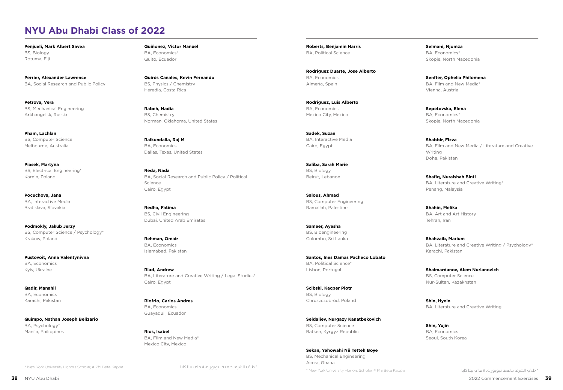**Penjueli, Mark Albert Savea**  BS, Biology Rotuma, Fiji

 BA, Social Research and Public Policy **Perrier, Alexander Lawrence** 

**Petrova, Vera**  BS, Mechanical Engineering Arkhangelsk, Russia

**Pham, Lachlan**  BS, Computer Science Melbourne, Australia

**Piasek, Martyna**  BS, Electrical Engineering\* Karnin, Poland

**Pocuchova, Jana**  BA, Interactive Media Bratislava, Slovakia

**Podmokly, Jakub Jerzy**  BS, Computer Science / Psychology\* Krakow, Poland

**Pustovoit, Anna Valentynivna**  BA, Economics Kyiv, Ukraine

**Qadir, Manahil**  BA, Economics Karachi, Pakistan

**Quimpo, Nathan Joseph Belizario**  BA, Psychology\* Manila, Philippines

**Quiñonez, Victor Manuel** 

BA, Economics\* Quito, Ecuador

**Quirós Canales, Kevin Fernando**  BS, Physics / Chemistry Heredia, Costa Rica

**Rabeh, Nadia**  BS, Chemistry Norman, Oklahoma, United States

**Raikundalia, Raj M**  BA, Economics Dallas, Texas, United States

**Reda, Nada**  BA, Social Research and Public Policy / Political Science Cairo, Egypt

**Redha, Fatima**  BS, Civil Engineering Dubai, United Arab Emirates

**Rehman, Omair**  BA, Economics Islamabad, Pakistan

**Riad, Andrew**  BA, Literature and Creative Writing / Legal Studies\* Cairo, Egypt

**Riofrio, Carlos Andres**  BA, Economics Guayaquil, Ecuador

**Rios, Isabel**  BA, Film and New Media\* Mexico City, Mexico

 BA, Political Science **Roberts, Benjamin Harris** 

**Rodriguez Duarte, Jose Alberto**  BA, Economics Almería, Spain

**Rodriguez, Luis Alberto**  BA, Economics Mexico City, Mexico

**Sadek, Suzan**  BA, Interactive Media Cairo, Egypt

**Saliba, Sarah Marie**  BS, Biology Beirut, Lebanon

**Salous, Ahmad**  BS, Computer Engineering Ramallah, Palestine

**Sameer, Ayesha**  BS, Bioengineering Colombo, Sri Lanka

**Santos, Ines Damas Pacheco Lobato**  BA, Political Science\* Lisbon, Portugal

**Scibski, Kacper Piotr**  BS, Biology Chruszczobród, Poland

**Seidaliev, Nurgazy Kanatbekovich**  BS, Computer Science Batken, Kyrgyz Republic

**Sekan, Yehowahi Nii Tetteh Boye**  BS, Mechanical Engineering Accra, Ghana \* طلاب الشرف جامعة نيويورك، # فاي بيتا كابا ستا كابا كابا الشرف جامعة نيويورك، # New York University Honors Scholar, # Phi Beta Kappa \* طلاب الشرف جامعة نيويورك، # فاي بيتا كابا Kappa Beta Rappa " طلاب الشرف جامعة نيويورك

**Selmani, Njomza**  BA, Economics\* Skopje, North Macedonia

**Senfter, Ophelia Philomena**  BA, Film and New Media\* Vienna, Austria

**Sepetovska, Elena**  BA, Economics\* Skopje, North Macedonia

**Shabbir, Fizza**  BA, Film and New Media / Literature and Creative Writing Doha, Pakistan

**Shafiq, Nuraishah Binti** BA, Literature and Creative Writing\* Penang, Malaysia

**Shahin, Melika**  BA, Art and Art History Tehran, Iran

**Shahzaib, Marium**  BA, Literature and Creative Writing / Psychology\* Karachi, Pakistan

**Shaimardanov, Alem Nurlanovich**  BS, Computer Science Nur-Sultan, Kazakhstan

 BA, Literature and Creative Writing **Shin, Hyein** 

**Shin, Yujin**  BA, Economics Seoul, South Korea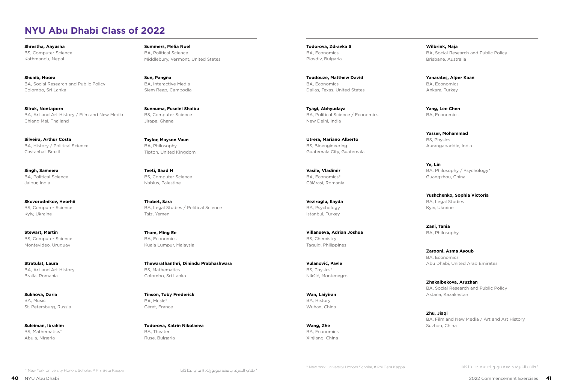**Shrestha, Aayusha**  BS, Computer Science Kathmandu, Nepal

**Shuaib, Noora**  BA, Social Research and Public Policy Colombo, Sri Lanka

**Silruk, Nontaporn**  BA, Art and Art History / Film and New Media Chiang Mai, Thailand

**Silveira, Arthur Costa**  BA, History / Political Science Castanhal, Brazil

**Singh, Sameera**  BA, Political Science Jaipur, India

**Skovorodnikov, Heorhii**  BS, Computer Science Kyiv, Ukraine

**Stewart, Martin**  BS, Computer Science Montevideo, Uruguay

**Stratulat, Laura**  BA, Art and Art History Braila, Romania

**Sukhova, Daria**  BA, Music St. Petersburg, Russia

**Suleiman, Ibrahim**  BS, Mathematics\* Abuja, Nigeria

**Summers, Melia Noel**  BA, Political Science Middlebury, Vermont, United States

**Sun, Pangna**  BA, Interactive Media Siem Reap, Cambodia

**Sunnuma, Fuseini Shaibu**  BS, Computer Science Jirapa, Ghana

**Taylor, Mayson Vaun**  BA, Philosophy Tipton, United Kingdom

**Teeti, Saad H**  BS, Computer Science Nablus, Palestine

**Thabet, Sara**  BA, Legal Studies / Political Science Taiz, Yemen

**BA.** Economics **Tham, Ming Ee**  Kuala Lumpur, Malaysia

**Thewarathanthri, Dinindu Prabhashwara**  BS, Mathematics Colombo, Sri Lanka

**Tinson, Toby Frederick**  BA, Music\* Céret, France

**Todorova, Katrin Nikolaeva**  BA, Theater Ruse, Bulgaria

**Todorova, Zdravka S**  BA, Economics Plovdiv, Bulgaria

**Toudouze, Matthew David**  BA, Economics Dallas, Texas, United States

**Tyagi, Abhyudaya**  BA, Political Science / Economics New Delhi, India

**Utrera, Mariano Alberto**  BS, Bioengineering Guatemala City, Guatemala

**Vasile, Vladimir**  BA, Economics\* Călărași, Romania

**Veziroglu, Ilayda**  BA, Psychology Istanbul, Turkey

**Villanueva, Adrian Joshua**  BS, Chemistry Taguig, Philippines

**Vulanović, Pavle**  BS, Physics\* Nikšić, Montenegro

**Wan, Laiyiran**  BA, History Wuhan, China

**Wang, Zhe**  BA, Economics Xinjiang, China

**Wilbrink, Maja**  BA, Social Research and Public Policy Brisbane, Australia

**Yanarateş, Alper Kaan**  BA, Economics Ankara, Turkey

 BA, Economics **Yang, Lee Chen** 

**Yasser, Mohammad**  BS, Physics Aurangabaddie, India

**Ye, Lin**  BA, Philosophy / Psychology\* Guangzhou, China

**Yushchenko, Sophia Victoria**  BA, Legal Studies Kyiv, Ukraine

 BA, Philosophy **Zani, Tania** 

**Zarooni, Asma Ayoub**  BA, Economics Abu Dhabi, United Arab Emirates

**Zhakaibekova, Aruzhan**  BA, Social Research and Public Policy Astana, Kazakhstan

**Zhu, Jiaqi**  BA, Film and New Media / Art and Art History Suzhou, China

\* طلاب الشرف جامعة نيويورك، # فاي بيتا كابا للسرف جامعة نيويورك، # فاي بيتا كابا لا Kappa Beta Kappa الأطلب الشرف جامعة نيويورك، وسمعة نيويورك، # فاي بيتا كابا له الشرف جامعة نيويورك، # فاي بيتا كابا له كابا له الشرف جامع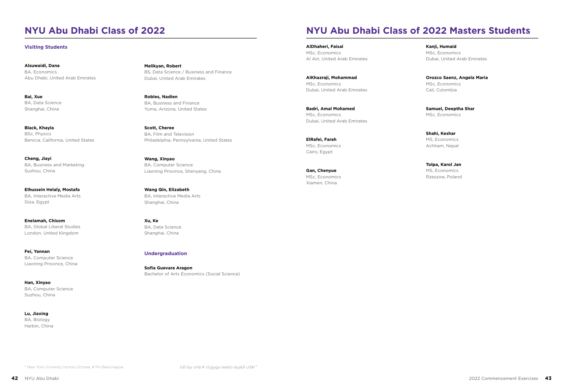#### **Visiting Students**

**Alsuwaidi, Dana**  BA, Economics Abu Dhabi, United Arab Emirates

BA, Data Science **Bai, Xue**  Shanghai, China

**Black, Khayla**  BSc, Physics Benicia, California, United States

BA, Business and Marketing<br>Suzhou, China **Cheng, Jiayi** 

BA, Interactive Media Arts<br>Giza, Egypt **Elhussein Helaly, Mostafa** 

**Enelamah, Chisom**  BA, Global Liberal Studies London, United Kingdom

BA, Computer Science **Fei, Yannan**  Liaoning Province, China

BA, Computer Science<br>Suzhou, China **Han, Xinyao** 

**BA, Biology Lu, Jiaxing** 

Harbin, China

**Melikyan, Robert**  BS, Data Science / Business and Finance Dubai, United Arab Emirates

**Robles, Nadien**  BA, Business and Finance Yuma, Arizona, United States

**Scott, Cheree**  BA, Film and Television Philadelphia, Pennsylvania, United States

**BA, Computer Science Wang, Xinyao**  Liaoning Province, Shenyang, China

BA, Interactive Media Arts<br>Shanghai, China **Wang Qin, Elizabeth** 

BA, Data Science **Xu, Ke**  Shanghai, China

#### **Undergraduation**

**Sofa Guevara Aragon**  Bachelor of Arts Economics (Social Science)

## **NYU Abu Dhabi Class of 2022 NYU Abu Dhabi Class of 2022 Masters Students**

**AlDhaheri, Faisal**  MSc, Economics Al Ain, United Arab Emirates

**AlKhazraji, Mohammad**  MSc, Economics Dubai, United Arab Emirates

**Badri, Amal Mohamed**  MSc, Economics Dubai, United Arab Emirates

**ElRafei, Farah**  MSc, Economics Cairo, Egypt

**Gan, Chenyue**  MSc, Economics Xiamen, China

**Kanji, Humaid**  MSc, Economics Dubai, United Arab Emirates

**Orozco Saenz, Angela Maria**  MSc, Economics Cali, Colombia

**Samuel, Deeptha Shar**  MSc, Economics

**Shahi, Keshar**  MS, Economics Achham, Nepal

**Tolpa, Karol Jan**  MS, Economics Rzeszow, Poland

\* New York University Honors Scholar, # Phi Beta Kappa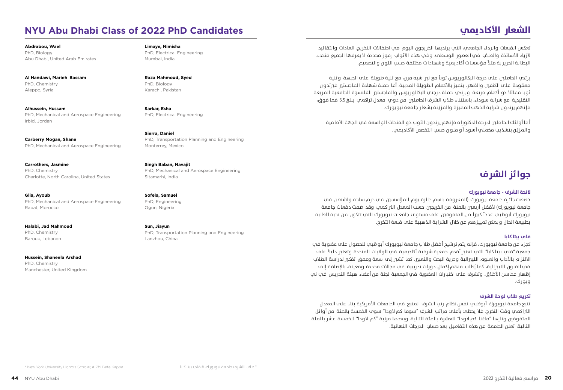## **NYU Abu Dhabi Class of 2022 PhD Candidates دكالارلشعاا يمي**

البطانة الحريرية مثلا مؤسسات اكاديمية وشهادات مختلفة حسب اللون والتصميم. تعكس القيعات والرداء الحامعم، التم يرتديها الخريجون اليوم فمر احتفالات التخريج العادات والتقاليد لأزياء الأساتذة والطلاب فب العصور الوسطي. وفي هذه الأثواب رقوز محددة لا يعرفها الجميع فتحدد

برتمي الحاصلين علم درجة البكالوريوس ثوبا مع نير شبه مرن، مع ثنية طويلة علم الجبهة، وثنية معقودة علم الكتفين والظهر، يتميز بالآكمام الطويلة المدببة. اما حملة شهادة الماجستير فيرتدون نوبا مماثلا ذو اكمام مربعة. ويرتدي حملة درجتي البكالوريوس والماجستير القلنسوة الجامعية المربعة التقليدية مع شرابة سوداء، باستثناء طلاب الشرف الحاصلين من ذوب معدل تراكمب يبلغ 3.5 فما فوق،<br>فإنهم يرتدون شرابة الذهب المميزة والمزيّنة بشعار جامعة نيويورك. فانهم برتدون شراية الذهب المميزة والمزتنة بشعار حامعة نيويورك.

اما اولئك الحاملين لدرجة الدكتوراه فإنهم يرتدون الثوب ذو الفتحات الواسعة فب الجهة الأمامية والمزيّن بتشذيب مخملي آسود آو ملون حسب التخصص الأكاديمي.

# **ف رلشائز اجو**

### لائحة الشرف - جامعة نيويورك

خصصت جائزة جامعة نيويورك (المعروفة باسم جائزة يوم المؤسسين فب حرم ساحة واشنطن فب جامعة نيويورك) لأفضل آربعين بالمئة من الخريجين حسب المعدل التراكمي. وقد ضمت دفعات جامعة نيويورك أبوظبي عدداً كبيراً من المتفوقين علم مستوم جامعات نيويورك التي تتكون من نخبة الطلبة بطبيعة الحال ويمكن تمييزهم من خلال الشرابة الذهبية علم قبعة التخرج.

### فا *ي* بيتا كا با

كجزء من جامعة نيويورك، فإنه يتم ترشيح أفضل طلاب جامعة نيويورك أبوظبي للحصول علم عضوية في جمعية "فاي بيتا كابا" التي تعتبر أقدم جمعية شرفية أكاديمية في الولايات المتحدة وتعتبر دليلا على الالتزام بالاداب والعلوم الليبرالية وحرية البحث والتعبير، كما تشير إلى سعة وعمق تفكير لدراسة الطلاب في الفنون الليبرالية، كما يُطلب منهم إكمال دورات تدريبية في مجالات محددة ومعينة، بالإضافة إلى اظهار محاسن الأخلاق. وتشرف على اختبارات العضوية فب الجمعية لجنة من أعضاء هيئة التدريس في ني ويورك.

### نكريم طلاب لوحة الشرف

تتبع جامعة نيويورك أبوظبي نفس نظام رتب الشرف المتبع في الجامعات الأمريكية بناء على المعدل التراكمب وقت التخرج، فلا يحظم بأعلم مراتب الشرف "سوما كم لاودا" سوم الخمسة بالمئة من أوائل المتفوقى وتليها "ماغنا كم لاودا" للعشرة بالمئة التالية، وبعدها مرتبة "كم لاودا" للخمسة عشر بالمئة التالية. تعلن الحامعة عن هذه التفاصيل بعد حساب الدرجات النهائية.

**Abdrabou, Wael**  PhD, Biology Abu Dhabi, United Arab Emirates

**Al Handawi, Marieh Bassam**  PhD, Chemistry Aleppo, Syria

**Alhussein, Hussam**  PhD, Mechanical and Aerospace Engineering Irbid, Jordan

**Carberry Mogan, Shane**  PhD, Mechanical and Aerospace Engineering

**Carrothers, Jasmine**  PhD, Chemistry Charlotte, North Carolina, United States

**Glia, Ayoub**  PhD, Mechanical and Aerospace Engineering Rabat, Morocco

**Halabi, Jad Mahmoud**  PhD, Chemistry Barouk, Lebanon

**Hussein, Shaneela Arshad**  PhD, Chemistry Manchester, United Kingdom **Limaye, Nimisha** 

PhD, Electrical Engineering Mumbai, India

**Raza Mahmoud, Syed**  PhD, Biology Karachi, Pakistan

**Sarkar, Esha**  PhD, Electrical Engineering

**Sierra, Daniel**  PhD, Transportation Planning and Engineering Monterrey, Mexico

**Singh Baban, Navajit**  PhD, Mechanical and Aerospace Engineering Sitamarhi, India

**Sofela, Samuel**  PhD, Engineering Ogun, Nigeria

**Sun, Jiayun**  PhD, Transportation Planning and Engineering Lanzhou, China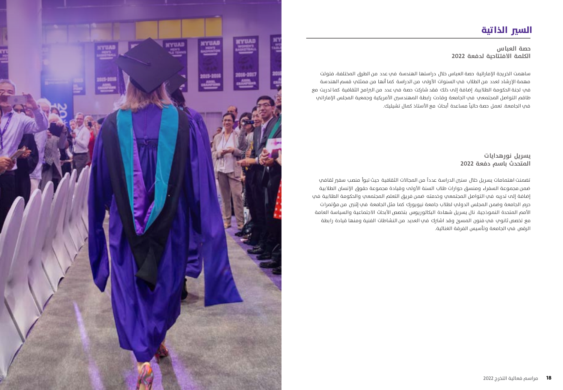حصة العباس **فعة لدحية فت�تالالكلمة ا 2022**

ساهمت الخريجة الإماراتية حصة العباس خلال دراستها الهندسة فى عدد من الطرق المختلفة، فتولت مهمة الإرشاد لعدد من الطلاب في السنوات الأولم من الدراسة كما أنها من ممثلي قسم الهندسة في لجنة الحكومة الطلابية. إضافة إلى ذلك فقد شاركت حصة في عدد من البرامج الثقافية كما تدربت مع طاقم التواصل المجتمعي في الجامعة وقادت رابطة المهندسين الأمريكية وجمعية المجلس الإماراتي في الجامعة. تعمل حصة حالياً مساعدة أبحاث مع الأستاذ كمال تشيليك.

> يسريل نورهدايات **فعة دسم باث لمتحدا 2022**

تضمنت اهتمامات يسريل خلال سنين الدراسة عدداً من المجالات الثقافية حيث تبوأ منصب سفي ثقافي ضمن مجموعة السفراء ومنسق حوارات طلاب السنة الأولى وقيادة مجموعة حقوق الإنسان الطلابية إضافة إلى تدربه في التواصل المجتمعي وخدمته ضمن فريق التعلم المجتمعي والحكومة الطلابية في حرم الجامعة وضمن المجلس الدولي لطلاب جامعة نيويورك كما مثل الجامعة فب إثنين من مؤتمرات الأمم المتحدة النموذجية. نال يسريل شهادة البكالوريوس بتخصص الأبحاث الاجتماعية والسياسة العامة مع تخصص ثانوي في فنون المسرح وقد اشترك في العديد من النشاطات الفنية ومنها قيادة رابطة الرقص فب الجامعة وتأسيس الفرقة الغنائية.

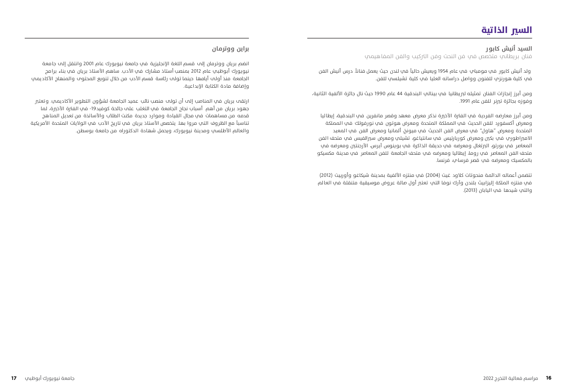### **ر بوكانيش ألسيد ا** فنان بريطاني متخصص في فن النحت وفن التركيب والفن المفاهيمي

ولد أنيش كابور في مومباب في عام 1954 ويعيش حالياً في لندن حيث يعمل فناناً. درس أنيش الفن في كلية هورنزي للفنون وواصل دراساته العليا في كلية تشيلسي للفن.

ومن ابرز إنجازات الفنان تمثيله لبريطانيا في بينالي البندقية 44 عام 1990 حيث نال جائزة الآلفية الثانية، وفوزه بجائزة تيرنر للفن عام 1991.

ومن أبرز معارضه الفردية في الفترة الأخيرة نذكر معرض معهد وقصر مانفرين في البندقية، إيطاليا ومعرض أكسفورد للفن الحديث في المملكة المتحدة ومعرض هوتون في نورفولك في المملكة المتحدة ومعرض "هاول" في معرض الفن الحديث في ميونخ، ألمانيا ومعرض الفن في المعبد الامعاطوري في بكين ومعرض كوربارتيس في سانتياغو، تشيلي ومعرض سيرالفيس في متحف الفن المعاصر في بورته البرتغال ومعرضه في حديقة الذاكرة في بوينوس آيرس، الأرجنتين ومعرضه في متحف الفن المعاصر في روما، إيطاليا ومعرضه في متحف الجامعة للفن المعاصر في مدينة مكسيكو نالمكسنك ومعرضه فم قصر فرسام، فرنسا.

تتضمن أعماله الدائمة منحوتات كلاود غيت (2004) فب منتزه الألفية بمدينة شيكاغو وأوربيت (2012) في منتزه الملكة إليزابيث بلندن وآرك نوفا التي تعتب أول صالة عروض موسيقية متنقلة في العالم والتي شيدها في اليابان (2013).

### براين ووترمان

انضم بريان ووترمان إلى قسم اللغة الإنجليزية في جامعة نيويورك عام 2001 وانتقل إلى جامعة نيويورك أبوظبي عام 2012 بمنصب أستاذ مشارك في الأدب. ساهم الأستاذ بريان في بناء برامج الجامعة منذ أولم أيامها حينما تولم رئاسة قسم الأدب من خلال تنويع المحتوم والمنهاج الأكاديمي وإضافة مادة الكتابة الإبداعية.

ارتقم بريان في المناصب إلى أن تولى منصب نائب عميد الجامعة لشؤون التطوير الأكاديمي. وتعتبر جهود بريان من أهم، أسباب نجاح الجامعة في التغلب على جائحة كوفيد19- في الفترة الأخيرة، لما قدمه من مساهمات في مجال القيادة وموارد جديدة مكنت الطلاب والأساتذة من تعديل المناهج تناسباً مع الظروف التي مروا بها. يتخصص الأستاذ بريان في تاريخ الأدب في الولايات المتحدة الأمريكية والعالم الأطلسب ومدينة نيويورك، ويحمل شهادة الدكتوراه من جامعة بوسطن.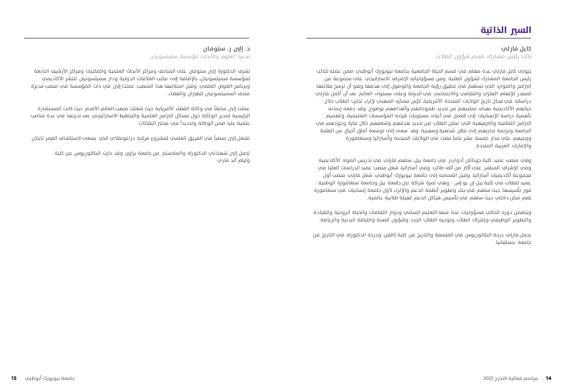**لي رفايل كا**

نائب رئيس مشارك، قسم شؤون الطلاب

يتولم كايل فارلي عدة مهام في قسم الحياة الجامعية بجامعة نيويورك أبوظبي، ضمن عمله كنائب رئيس الجامعة المشارك لشؤون الطلبة. ومن مسؤولياته الإشراف الاستراتيجي علم مجموعة من البرامج والموارد التي تساهم فب تحقيق رؤية الجامعة والوصول إلى هدفها وهو أن ترسخ مكانتها كمصدر للإلهام الفكري والثقافي والاجتماعي في الدولة وعلى مستوى العالم. بعد أن أكمل فارلي دراساته في مجال تاريخ الولايات المتحدة الأمريكية، كرّس مساره المهني لإثراء تجارب الطلاب خلال حياتهم الأكاديمية بهدف تمكينهم من تحديد طموحاتهم وأهدافهم بوضوج وقد دفعه إيمانه بأهمية دراسة الإنسانيات إلى العمل في أعلى مستويات قيادة المؤسسات التعليمية، وتصميم البرامج الثقافية والترفيهية التب تمكن الطلاب من تحديد هدفهم وشغفهم خلال فترة وجودهم فب الجامعة وترجمة تجاربهم إلى نتائج شخصية ومهنية. وقد سعم إلى توسعة آفاق أجيال من الطلبة ووعيهم على مدار خمسة عشر عاماً مضت في الولايات المتحدة وأستراليا وسنغافورة والإمارات العربية المتحدة.

وفي منصب عميد كلية جوناثان أدواردز في حامعة بيل، ساهم فارلي في تدريس المواد الأكاديمية وفي الإشراف المباشر علم أكثر من ألف طالب. وفي أستراليا، شغل منصب عميد الدراسات العليا في مجموعة أكاديميات أستراليا. وقبل انضمامه إلى جامعة نيويورك أبوظبي، شغل فارلى منصب أول عميد للطلاب في كلية پيل-إن يو إس - وهي ثمرة شراكة بين جامعة پيل وجامعة سنغافورة الوطنية -فور تأسيسها حيث ساهم في بناء وتطوير أنظمة الدعم والإثراء لأول جامعة إنسانيات في سنغافورة تضم سكن داخلب حيث ساهم فب تأسيس هياكل الدعم لهيئة طلابية عالمية.

ويتضمن دوره الحالي مسؤوليات عدة منها التعليم السكني وحوار الثقافات والحياة الروحية والقيادة والتطوير الوظيفي وإشراك الطلاب وتوجيه الطلاب الجدد وشؤون الصحة واللياقة البدنية والرياضة.

يحمل فارلب درجة البكالوريوس فب الفلسفة والتاريخ من كلية كالفن، ودرجة الدكتوراه فب التاريخ من حامعة بنسلفانيا.

### د. إل<del>ي</del>ن ر. ستوفان

مديرة العلوم والأبحاث، مؤسسة سميثسونيان

تشرف الدكتورة إلين ستوفان على المتاحف ومراكز الأبحاث العلمية والمكتبات ومراكز الأرشيف التابعة لمؤسسة سميثسونيان، بالإضافة إلى مكتب العلاقات الدولية ودار سميثسونيان للنشر الأكاديمي وبرنامج الغوص العلمي. وقبل استلامها هذا المنصب، عملت إلين في ذات المؤسسة في منصب مديرة متحف السميثسونيان للطيران والفضاء.

عملت إلي سابقاً في وكالة الفضاء الأمريكية حيث شغلت منصب العالم الأقدم حيث كانت المستشارة الرئيسية لمدير الوكالة حول مسائل البرامج العلمية والتخطيط الاستراتيجي، بعد تدرجها في عدة مناصب علمية عليا ضمن الوكالة وتحديداً في مختب النفاثات.

تشغل إلين منصباً في الفريق العلمي لمشروع مركبة دراغونفلاي الذي يسعم لاستكشاف القمر تايتان.

تحمل إلى شهادته الدكتوراه والماحستم من حامعة براون وقد حازت البكالوريوس من كلية ولياه، أند مارس.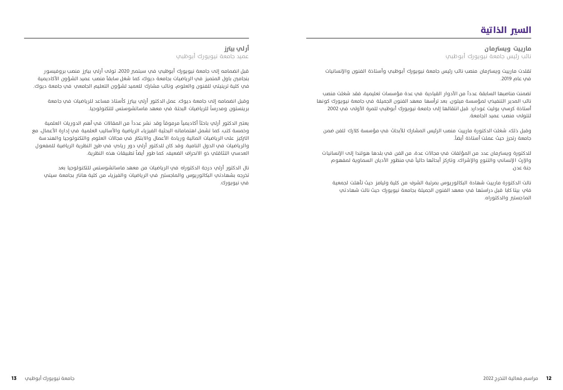مارييت ويسترمان

نائب رئيس جامعة نيويورك أبوظبي

تقلدت مارييت ويسترمان منصب نائب رئيس جامعة نيويورك أبوظبي وأستاذة الفنون والإنسانيات م عافي .2019

استاذة كرسب بوليت غودارد قبل انتقالها إلى جامعة نيويورك ابوظبب للمرة الآولى فب 2002 تضمنت مناصبها السابقة عدداً من الأدوار القيادية في عدة مؤسسات تعليمية، فقد شغلت منصب نائب المدير التنفيذي لمؤسسة ميلون، بعد ترأسها معهد الفنون الجميلة في جامعة نيويورك كونها لتتولب منصب عميد الجامعة.

وقبل ذلك، شغلت الدكتورة مارييت منصب الرئيس المشارك للأبحاث فص مؤسسة كلارك للفن ضمن جامعة رتجرز حيث عملت أستاذة أيضاً.

للدكتورة ويسترمان عدد من المؤلفات في مجالات عدة، من الفن في بلدها هولندا إلى الإنسانيات والإرث الإنسانب والتنوع والإشراك، وتتركز أبحاثها حالياً فب منظور الأدبان السماوية لمفهوم حنة عدن.

نالت الدكتورة مارييت شهادة البكالوريوس بمرتبة الشرف من كلية وليامز حيث تأهلت لجمعية فاب بيتا كابا قبل دراستها في معهد الفنون الجميلة بجامعة نيويورك حيث نالت شهادتي الماجستي والدكتوراه.

## أر لي بيترز

عميد جامعة نيويورك أبوظيب

قبل انضمامه إلى جامعة نيويورك أبوظبي في سبتمبر 2020، تولي أرلي بيترز منصب بروفيسور بنجامين باول المتميز في الرياضيات بجامعة ديوك، كما شغل سابقاً منصب عميد الشؤون الأكاديمية في كلية ترينيتي للفنون والعلوم، ونائب مشارك للعميد لشؤون التعليم الجامعي في جامعة ديوك.

وقبل انضمامه إلى جامعة ديوك، عمل الدكتور أرلى بيترز كأستاذ مساعد للرياضيات في جامعة برينستون ومدرساً للرياضيات البحتة في معهد ماساتشوستس للتكنولوجيا.

يعتبر الدكتور ارلب باحثا اكاديميا مرموقا وقد نشر عددا من المقالات فب اهم الدوريات العلمية وخمسة كتب، كما تشمل اهتماماته البحثية الفيزياء الرياضية والأساليب العلمية في إدارة الأعمال، مع التركيز علم الرياضيات المالية وريادة الأعمال والابتكار فمي مجالات العلوم والتكنولوجيا والهندسة والرياضيات في الدول النامية. وقد كان للدكتور أراي دور رياحي في طرح النظرية الرياضية للمفعول العدسب التثاقلب ذو الانحراف الضعيف، كما طور أيضاً تطبيقات هذه النظرية.

نال الدكتور أرلى درجة الدكتوراه في الرياضيات من معهد ماساتشوستس للتكنولوجيا بعد تخرجه بشهادتي البكالوريوس والماجستي في الرياضيات والفيزياء من كلية هانتر بجامعة سيتي فپ نيويورك.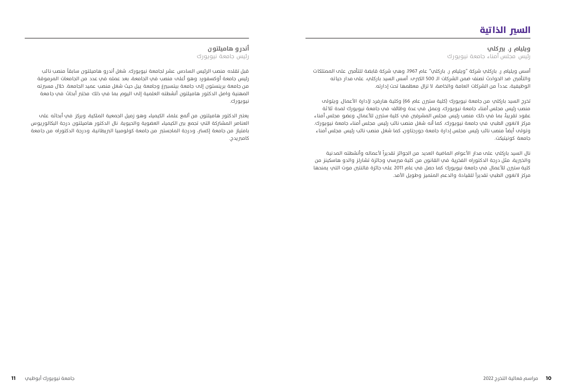**رميلياو . كلي يب**

رئيس مجلس أمناء جامعة نيويورك

أسس ويليام ر. باركلي شركة "ويليام ر. باركلي" عام 1967 وهي شركة قابضة للتأمين على الممتلكات والتأمين ضد الحوادث تصنف ضمن الشركات الـ 500 الكبرم. أسس السيد باركلم، علم مدار حياته الوظيفية، عدداً من الشركات العامة والخاصة، لا تزال معظمها تحت إدارته.

تخرج السيد باركلي من جامعة نيوپورك (كلية ستيرن عام 66) وكلية هارفرد لإدارة الأعمال. ويتولم منصب رئيس مجلس أمناء جامعة نيويورك، وعمل في عدة وظائف في جامعة نيويورك لمدة ثلاثة عقود تقريباً، بما في ذلك منصب رئيس مجلس المشرفين في كلية ستيرن للأعمال، وعضو مجلس أمناء مركز لانغون الطبب في جامعة نيويورك، كما أنه شغل منصب نائب رئيس مجلس أمناء جامعة نيويورك. وتولم أيضاً منصب نائب رئيس مجلس إدارة جامعة جورجتاون، كما شغل منصب نائب رئيس مجلس أمناء جامعة كونيتيكت.

نال السيد باركلب علب مدار الأعوام الماضية العديد من الجوائز تقديراً لأعماله وأنشطته المدنية والخبرية، مثل درجة الدكتوراه الفخرية فمر القانون من كلية مبرسمر وحائزة تشارلز والدو هاسكينز من كلية ستيرن للأعمال في جامعة نيويورك كما حصل في عام 2011 على جائزة فالنتين موت التي يمنحها مركز لانغون الطبي تقديراً للقيادة والدعم المتميز وطويل الأمد.

### اندر و هامیلتو ن

رئيس جامعة نيويورك

قبل تقلده منصب الرئيس السادس عشر لجامعة نيويورك، شغل اندرو هاميلتون سابقا منصب نائب رئيس جامعة أوكسفورد وهو أعلم منصب في الجامعة، بعد عمله في عدد من الجامعات المرموقة من جامعة برينستون إلى جامعة بيتسبيءَ وجامعة پيل حيث شغل منصب عميد الجامعة. خلال مسي ته المهنية واصل الدكتور هاميلتون أنشطته العلمية إلى اليوم بما في ذلك مختبر أبحاث في جامعة نيويور ك.

يعتب الدكتور هاميلتون من ألمع علماء الكيمياء وهو زميل الجمعية الملكية، ويركز ـفي أبحاثه علم العناصر المشتركة التب تجمع بين الكيمياء العضوية والحيوية. نال الدكتور هاميلتون درجة البكالوريوس بامتياز من جامعة إكستن ودرجة الماجستي من جامعة كولومبيا البريطانية، ودرجة الدكتوراه من جامعة كامبر يدج.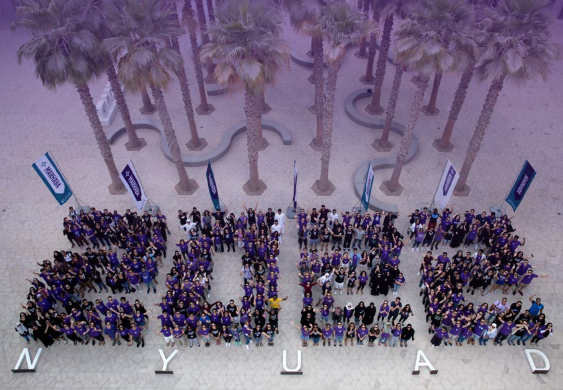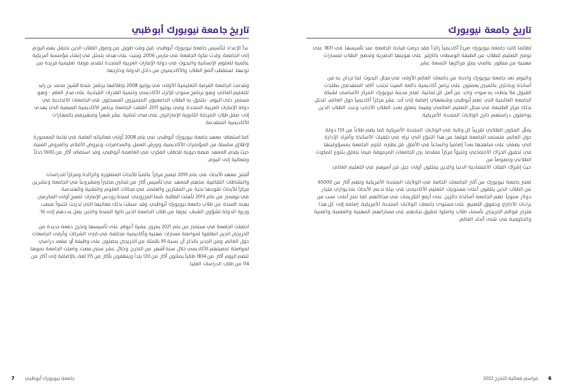## تاريخ جامعة نيويو<u>ر</u>ك

لطالما كانت جامعة نيويورك مرحا اكاديميا رائدا فقد حرصت قيادة الجامعة منذ تاسيسها فب 1831 على توفي التعليم للطلاب من الطبقة الوسطى بالتركيز علم هويتها الحضرية وتحضي الطلاب لمسارات مهنية من منظور عالمي يميِّز مراكزها التسعة عشر.

الجامعة العالمية التي تضم ابوظبي وشنغهاي إضافة إلى احد عشر مركزا اكاديميا حول العالم، لتحتل واليوم تعد جامعة نيويورك واحدة من جامعات العالم الأولم في مجال البحوث لما تزدان به من أساتذة وباحثين عالميين يعملون علم برامج أكاديمية ذائعة الصيت تجتذب آلاف المتقدمين بطلبات القبول فلا يحظم به سوم واحد من أصل كل ثمانية. تعتب مدينة نيويورك المركز الأساسي لشبكة بذلك مركز الطليعة في مجال التعليم العالمي وفيما يتعلق بعدد الطلاب الأجانب وعدد الطلاب الذين يواصلون دراستهم خارج الولايات المتحدة الأمريكية.

الذي يضفي على مناهجها بعداً إضافياً واتساعاً في الافاق قل نظيره. تلتزم الجامعة بمسؤوليتها الطلابي وخصوصاً من يمثِّل المكون الطلابي تقربياً كل ولاية في الولايات المتحدة الأمريكية كما يضم طلاباً من 133 دولة حول العالم، فتستمد الجامعة قوتها من هذا التنوّع الذي نراه فم خلفيات الأساتذة وأفراد الادارة في تحقيق الحراك الاحتماعي وتتبوأ مركزاً متقدما يبن الحامعات المرموقة فيما يتعلق بتنوع المكوت

حيث إشراك الفئات الاقتصادية الدنيا والذين يمثلون أولم جيل من أسرهم في التعليم العالي.

تعتبر جامعة نيويورك من أكبر الجامعات الخاصة فى الولايات المتحدة الأمريكية وتضم أكثر من 65000 من الطلاب الذين يتلقون أعلم مستويات التعليم الأكاديمي في بيئة تدعم الأبحاث بما يوازي مليار دولار سنوياً. تضم الجامعة أساتذة حائزين على أرفع التكريمات في مجالاتهم كما تنتج أعلى نسب من براءات الاختراع وحقوق التصنيع علم مستوم جامعات الولايات المتحدة الأمريكية. إضافة إلم كل هذا فتزخر قوائم الخرىحى بأسماء طلاب واصلوا تحقيق نحاحهم فص مساراتهم المهنية والعلمية والفنية والحكومية في شتم أنحاء العالم.

## تاريخ جامعة نيويورك ابوظبي

بدأ الإعداد لتأسيس جامعة نيويورك أبوظبي قبل وقت طويل من وصول الطلاب الذين نحتفل بهم اليوام إلى الجامعة. ولدت فكرة الجامعة في مارس 2006 وبنيت على هدف يتمثل في إنشاء مؤسسة أمر يكية عالمية للعلوم الإنسانية والبحوث في دولة الإمارات العربية المتحدة لتقدم فرصة تعليمية فريدة من نوعها، تستقطب ألمع الطلاب والأكاديميين من داخل الدولة وخارجها.

وقدمت الجامعة الفرصة التعليمية الأولمر في يوليو 2008 بإطلاقها برنامج منحة الشيخ محمد بن زايد للتعليم العالى، وهو برنامج سنوى للإثراء الأكاديمي وتنمية القدرات القيادية على مدار العام - وهو مستمر حتى اليوم - يلتحق به الطلاب الجامعيون المتميزون المسجلون في الجامعات الاتحادية في دولة الإمارات العربية المتحدة. وفي يوليو 2011 أطلقت الجامعة برنامج الأكاديمية الصيفية الذي يهدف إلى مقل طلاب المرحلة الثانوية الإماراتيين على مدى ثمانية عشر شهراً وتجهيزهم بالمهارات الأكادىمية المتقدمة.

حيث يقدم المعهد منصة حيوية للخطاب الفكري فب العاصمة أبوظبى، وقد استضاف آكثر من 1600 حدثاً كما استضاف معهد حامعة نيويورك أيوظيمر فمر عام 2008 أولمر فعالياته العامة فمر قاعة المعمورة لإطلاق سلسلة من المؤتمرات الأكادىمىة، وورش العمل، والمحاضرات، وعروض الأنفلاه، والعروض الفنية، وفعالية إلى اليوه.

أفتتح معهد الأبحاث في عام 2010 ليصبح مركزا عالميا للأبحاث المتطورة والرائدة ومركزا للدراسات والنشاطات الثقافية. ساهم المعهد فب تآسيس آكثر من ثمانين مختبرا ومشروعا فب الجامعة وعشرين مركزاً للأبحاث تقودها نخبة من المفكرين والعلماء في مجالات العلوم والتقنية والهندسة. في نوفمبر من عام 2013 تأهلت الطالبة شما المزروعي لمنحة رودس الإمارات لتصبح أولت المكر مين بهذه المنحة من طلاب حامعة نيويورك أبوظيم، وقد سبقت بذلك معاليها التي تدرجت لتتبوأ منصب وزيرة الدولة لشؤون الشباب غرها من طلاب الحامعة الذين نالوا المنحة والذين يصل عددهم الب 16.

لتضم اليوم أكثر من 1834 طالباً يمثلون أكثر من 120 بلداً وينطقون بأكثر من 115 لغة، بالإضافة إلى أكثر من احتفلت الجامعة في سبتمبر من عام 2021 بمرور عشرة أعوام على تأسيسها وتخرج دفعة جديدة من الخريجين الذين انطلقوا لمواصلة مسارات مهنية وأكاديمية مختلفة فب كبرم الشركات وأرقم الجامعات حول العالم. ومن الجدير بالذكر أن نسبة 95 بالمئة من الخريجين يحصلون على وظيفة أو مقعد دراسي لمواصلة تحصيلهم الأكاديمي خلال ستة أشهر من التخرج وخلال عشر سنين مضت، واصلت الجامعة نموها 114 من طلاب الدراسات العليا.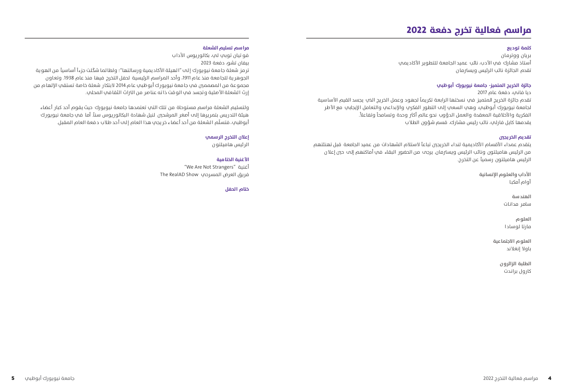## **فعة دج تخرلية فعاسم ارم 2022**

### **يع دتوكلمة**

بريان ووترمان .<br>أستاذ مشارك فب الأدب، نائب عميد الجامعة للتطوير الأكاديمي تقدم الجائزة نائب الرئيس ويسترمان

### جائزة الخريج المتميز- جامعة نيويورك أبوظبي

ديا فاني، دفعة عام 2017

الفكرية والآخلاقية المعقدة والعمل الدؤوب نحو عالم اكثر وحدة وتسامحا وتفاعلا. تقدم جائزة الخريج المتميز في نسختها الرابعة تكريماً لجهود وعمل الخريج الذي يجسد القيم الأساسية لجامعة نيويورك أبوظبم، وهم السعم إلى التطور الفكرم والإبداعم والتعامل الإيجابم مع الأطر بقدمها كايل فارلى، نائب رئيس مشارك، قسم شؤون الطلاب

### نقديم الخريج<u>ين</u>

بتقدم عمداء الأقسام الأكاديمية لنداء الخريجن تباعاً لاستلام الشهادات من عميد الحامعة قبل تهنئتهم من الرئيس هاميلتون ونائب الرئيس ويسترمان. يرحمر من الحضور اليقاء فمر أماكنهم إلى حين إعلان الرئيس هاميلتون رسمياً عن التخرج.

> الاداب والعلوم الإنسانية أوام أمكبا

> > **سة لهندا** سامر مدانات

**م لعلوا** مارتا لوسادا

العلوم الاجتماعية باولا إنغلاند

> **ن ورئازلالطلبة ا** كارول براندت

### مراسم تسليم الشعلة

فو تيان توبي لي، بكالوريوس الآداب بيفان تشو، دفعة 2023

ترمز شعلة جامعة نيويورك إلم "الهيئة الآكاديمية ورسالتها"؛ ولطالما شكلت جزءا اساسيا من الهوية الجوهرية للجامعة منذ عام 1911، واحد المراسم الرئيسية لحفل التخرج فيها منذ عام 1938. وتعاون مجموعة من المصممين في جامعة نيويورك ابوظبي عام 2014 لابتكار شعلة خاصة تستقي الإلهام من إرث الشعلة الأصلية وتجسد في الوقت ذاته عناصر من التراث الثقافي المحلي.

ولتسليم الشعلة مراسم مستوحاة من تلك التب تعتمدها جامعة نيويورك حيث يقوم احد كبار اعضاء هيئة التدريس بتمريرها إلى اصغر المرشحين لنيل شهادة البكالوريوس سنا. اما فب جامعة نيويورك ابوظبي، فتسلم الشعلة من احد اعضاء خريجي هذا العام إلى احد طلاب دفعة العام المقبل.

### إعلان التخرج الرسمي

الرئيس هاميلتون

### **مية لختااغنية لا**

فريق العرض المسرح<sup>ي The RealAD Show</sup> "We Are Not Strangers" أ غنية

### **لحفل امختا**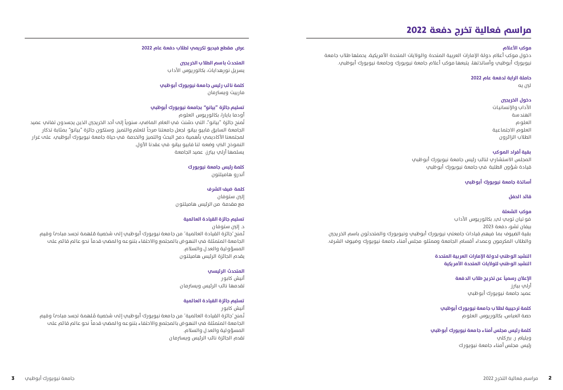## **فعة دج تخرلية فعاسم ارم 2022**

### **لم العب وكم**

دخول موكب أعلام دولة الإمارات العربية المتحدة والولايات المتحدة الأمريكية، يحملها طلاب جامعة نيويورك أبوظبي وأساتذتها، يتبعها موكب أعلام جامعة نيويورك ويوبورك أبوظبي.

#### **م عافعة لدية ارلاملة حا 2022**

لين يه

### دخول الخريجين

الآداب والإنسانيات الهندسة العلوم العلوم الاجتماعية الطلاب الزائرون

### **كب لمواد ارفأبقية**

المحلس الاستشارب لنائب رئبس حامعة نيويورك أيوظيب قيادة شؤون الطلبة في جامعة نيويورك أبوظبي

### أساتذة جامعة نيويورك أبوظبي

**لحفل ائد قا**

### **لشعلةاكب مو**

فو تيان توبي لي, بكالوريوس الآداب بيفان تشو، دفعة 2023 بقية الضيوف بما فيهم قيادات جامعتي نيويورك أبوظبي ونيويورك والمتحدثون باسم الخريجين والطلاب المكرمون وعمداء أقسام الجامعة وممثلو مجلس أمناء جامعة نيويورك وضيوف الشرف.

> النشيد الوطني لدولة الإمارات العربية المتحدة النشيد الوطني للولايات المتحدة الأمريكية

### الإعلان رسمياً عن تخريج طلاب الدفعة

آرلپ بيترز عميد جامعة نيويورك أبوظبمي

كلمة ترحيبية لطلاب جامعة نيويورك آبوظبي حصة العباس، بكالوريوس العلوم

### كلمة رئيس مجلس آمناء جامعة نيويورك آبوظبي ويليام ر. ب<u>بر</u>كلي رئيس مجلس آمناء جامعة نيويورك

### عرض مقطع فيديو تكريمي لطلاب دفعة عام 2022

المتحدث باسم الطلاب الخريج<u>ي</u>ن يسريل نورهدايات، بكالوريوس الآداب

### كلمة نائب رئيس جامعة نيويورك ابوظبي

مارييت ويسترمان

### تسليم جائزة "بيانو" بجامعة نيويورك أبوظبي

أودما بايارا، بكالوريوس العلوم

تُمنح جائزة "بيانو"، التي دشنت في العام الماضي، سنوياً إلى أحد الخريجي الذين يجسدون تفاني عميد الحامعة السابق فابيو بيانو لجعل جامعتنا صرحاً للعلم والتميز. وستكون حائزة "بيانو" بمثابة تذكار لمحتمعنا الأكادىمم بأهمية دمج البحث والتميز والخدمة فمرحياة حامعة نيويورك أيوظيم، علمرغرار النموذج الذب وضعه لنا فابيو بيانو في عقدنا الأول. يسلمها أرلب بي<del>آ</del>رز، عميد الجامعة

### كلمة رئيس جامعة نيويورك

أندرو هاميلتون

### **ف رلشاضيف كلمة**

إلين ستوفان مع مقدمة من الرئيس هاميلتون

### تسليم جائزة القيادة العا لمية

### د. إلين ستوفان

تمنح 'جائزة القيادة العالمية' من جامعة نيويورك آبوظبي إلى شخصية مُلهمة تجسد مبادئ وقيم الجامعة المتمثلة في النهوض بالمجتمع والاحتفاء بتنوعه والمضي قدماً نحو عالم قائم على المسؤولية والعدل والسلام. يقده الجائزة الرئيس هاميلتون

### المتحدث الرئيسي

أنيش كابور تقدمها نائب الرئيس ويسترمان

### تسليم جائزة القيادة العالمية

أنيش كابور

ثمنح 'جائزة القيادة العالمية' من جامعة نيويورك آبوظبي إلى شخصية مُلهمة تجسد مبادماً وقيم الجامعة المتمثلة فب النهوض بالمجتمع والاحتفاء بتنوعه والمضب قدمآ نحو عالم قائم على المسؤولية والعدل والسلام. تقدم الجائزة نائب الرئيس ويسترمان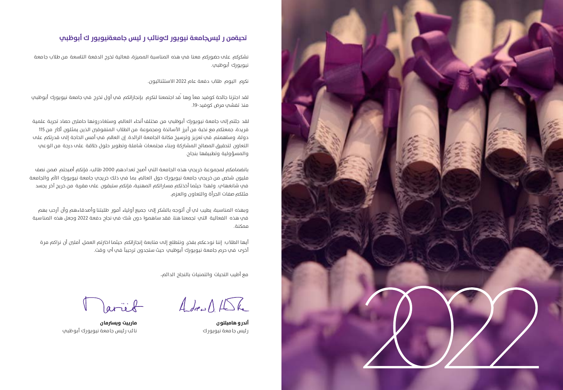

### تحيةمن ر ئيسجامعة نيويور كونائب ر ئيس جامعةنيويور ك ابوظبي

نشكركم على حضوركم معنا في هذه المناسبة المميزة، فعالية تخرج الدفعة التاسعة من طلاب جامعة نيويورك أبوظبي.

نكرم اليوم طلاب دفعة عام 2022 الاستثنائيون.

.<br>لقد احتزنا حائحة كوفيد معاً وها قد احتمعنا لنكرم. بانجازاتكم. في أول تخرج في جامعة نيويورك أيوظيب منذ تفشي مرض كوفيد-19.

لقد حئتم إلى حامعة نيويورك أيوظيم من مختلف أنحاء العالم، وستغادرونها حاملين حصاد تجربة علمية خريدة، جمعتكم مع نخبة من أبرز الأساتذة ومجموعة من الطلاب المتفوقين الذين يمثلون أكثر من 115 دولة، وساهمتم في تعزيز وترسيخ مكانة الجامعة الرائدة. إن العالم في أمس الحاجة إلى قدرتكم على التعاون لتحقيق المصالح المشتركة ويناء محتمعات شاملة وتطوير حلول خلاقة على درجة من الوعي والمسؤولية وتطبيقها بنجاح.

بانضمامكم لمجموعة خريجي هذه الجامعة التي أصبح تعدادهم 2000 طالب، فإنكم أصبحتم ضمن نصف مليون شخص من خريجي جامعة نيويورك حول العالم، بما في ذلك خريجي جامعة نيويورك الأم والجامعة في شانغهاي. ولهذا حيثما أخذتكم مساراتكم المهنية، فإنكم ستبقون علم مقربة من خريج آخر يجسد مثلكم صفات الجرأة والتعاون والعزم.

فب هذه الفعالية التب تجمعنا هنا، فقد ساهموا دون شك فب نجاح دفعة 2022 وجعل هذه المناسبة وبهذه المناسبة، يطيب لي أن أتوجه بالشكر إلى جميع أولياء أمور طلبتنا وأصدقاءهم وأن أرحب بهم ممكنة .

أيها الطلاب: إننا نودعكم بفخر، ونتطلع إلى متابعة إنجازاتكم حيثما اخترتم العمل، آملين أن نراكم مرة أخرم فمرحرم جامعة نيويورك أبوظبم حيث ستجدون ترحيباً فم أم وقت.

مع أطيب التحيات والتمنيات بالنجاح الدائم،

Adres D. HSke

**ن ميلتوهاو رندأ ن ماتيسوي�يت رما**

aried

نائيس جامعة نيويورك معتمد بوشيوم بوشيونيوم بوفيونيونيوم بورغايونيوم بورغلبي